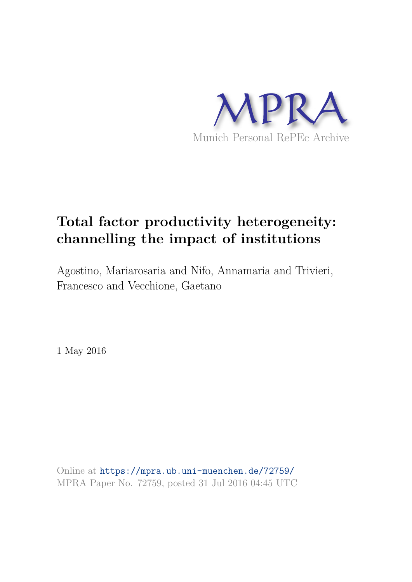

# **Total factor productivity heterogeneity: channelling the impact of institutions**

Agostino, Mariarosaria and Nifo, Annamaria and Trivieri, Francesco and Vecchione, Gaetano

1 May 2016

Online at https://mpra.ub.uni-muenchen.de/72759/ MPRA Paper No. 72759, posted 31 Jul 2016 04:45 UTC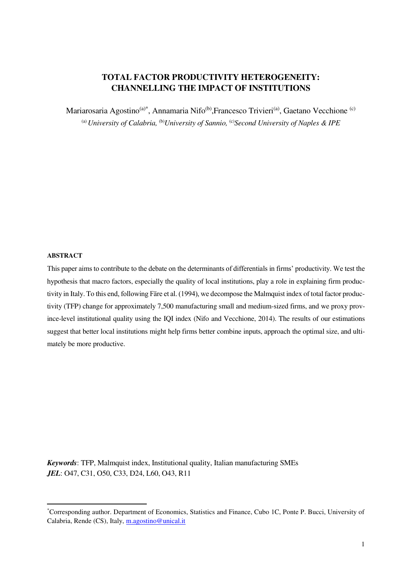## **TOTAL FACTOR PRODUCTIVITY HETEROGENEITY: CHANNELLING THE IMPACT OF INSTITUTIONS**

Mariarosaria Agostino<sup>(a)\*</sup>, Annamaria Nifo<sup>(b)</sup>, Francesco Trivieri<sup>(a)</sup>, Gaetano Vecchione<sup>(c)</sup> <sup>(a)</sup> University of Calabria, <sup>(b)</sup>University of Sannio, <sup>(c)</sup>Second University of Naples & IPE

#### **ABSTRACT**

 $\overline{a}$ 

This paper aims to contribute to the debate on the determinants of differentials in firms' productivity. We test the hypothesis that macro factors, especially the quality of local institutions, play a role in explaining firm productivity in Italy. To this end, following Färe et al. (1994), we decompose the Malmquist index of total factor productivity (TFP) change for approximately 7,500 manufacturing small and medium-sized firms, and we proxy province-level institutional quality using the IQI index (Nifo and Vecchione, 2014). The results of our estimations suggest that better local institutions might help firms better combine inputs, approach the optimal size, and ultimately be more productive.

*Keywords*: TFP, Malmquist index, Institutional quality, Italian manufacturing SMEs *JEL*: O47, C31, O50, C33, D24, L60, O43, R11

<sup>\*</sup>Corresponding author. Department of Economics, Statistics and Finance, Cubo 1C, Ponte P. Bucci, University of Calabria, Rende (CS), Italy, [m.agostino@unical.it](mailto:m.agostino@unical.it)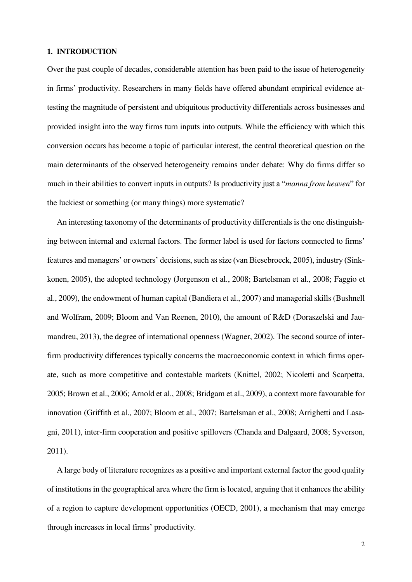## **1. INTRODUCTION**

Over the past couple of decades, considerable attention has been paid to the issue of heterogeneity in firms' productivity. Researchers in many fields have offered abundant empirical evidence attesting the magnitude of persistent and ubiquitous productivity differentials across businesses and provided insight into the way firms turn inputs into outputs. While the efficiency with which this conversion occurs has become a topic of particular interest, the central theoretical question on the main determinants of the observed heterogeneity remains under debate: Why do firms differ so much in their abilities to convert inputs in outputs? Is productivity just a "*manna from heaven*" for the luckiest or something (or many things) more systematic?

An interesting taxonomy of the determinants of productivity differentials is the one distinguishing between internal and external factors. The former label is used for factors connected to firms' features and managers' or owners' decisions, such as size (van Biesebroeck, 2005), industry (Sinkkonen, 2005), the adopted technology (Jorgenson et al., 2008; Bartelsman et al., 2008; Faggio et al., 2009), the endowment of human capital (Bandiera et al., 2007) and managerial skills (Bushnell and Wolfram, 2009; Bloom and Van Reenen, 2010), the amount of R&D (Doraszelski and Jaumandreu, 2013), the degree of international openness (Wagner, 2002). The second source of interfirm productivity differences typically concerns the macroeconomic context in which firms operate, such as more competitive and contestable markets (Knittel, 2002; Nicoletti and Scarpetta, 2005; Brown et al., 2006; Arnold et al., 2008; Bridgam et al., 2009), a context more favourable for innovation (Griffith et al., 2007; Bloom et al., 2007; Bartelsman et al., 2008; Arrighetti and Lasagni, 2011), inter-firm cooperation and positive spillovers (Chanda and Dalgaard, 2008; Syverson, 2011).

A large body of literature recognizes as a positive and important external factor the good quality of institutions in the geographical area where the firm is located, arguing that it enhances the ability of a region to capture development opportunities (OECD, 2001), a mechanism that may emerge through increases in local firms' productivity.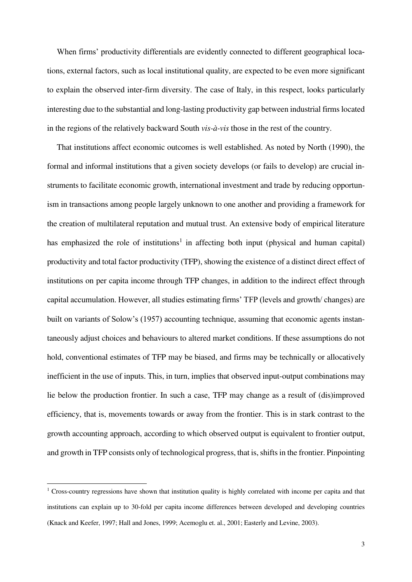When firms' productivity differentials are evidently connected to different geographical locations, external factors, such as local institutional quality, are expected to be even more significant to explain the observed inter-firm diversity. The case of Italy, in this respect, looks particularly interesting due to the substantial and long-lasting productivity gap between industrial firms located in the regions of the relatively backward South *vis-à-vis* those in the rest of the country.

That institutions affect economic outcomes is well established. As noted by North (1990), the formal and informal institutions that a given society develops (or fails to develop) are crucial instruments to facilitate economic growth, international investment and trade by reducing opportunism in transactions among people largely unknown to one another and providing a framework for the creation of multilateral reputation and mutual trust. An extensive body of empirical literature has emphasized the role of institutions<sup>1</sup> in affecting both input (physical and human capital) productivity and total factor productivity (TFP), showing the existence of a distinct direct effect of institutions on per capita income through TFP changes, in addition to the indirect effect through capital accumulation. However, all studies estimating firms' TFP (levels and growth/ changes) are built on variants of Solow's (1957) accounting technique, assuming that economic agents instantaneously adjust choices and behaviours to altered market conditions. If these assumptions do not hold, conventional estimates of TFP may be biased, and firms may be technically or allocatively inefficient in the use of inputs. This, in turn, implies that observed input-output combinations may lie below the production frontier. In such a case, TFP may change as a result of (dis)improved efficiency, that is, movements towards or away from the frontier. This is in stark contrast to the growth accounting approach, according to which observed output is equivalent to frontier output, and growth in TFP consists only of technological progress, that is, shifts in the frontier. Pinpointing

l

<sup>&</sup>lt;sup>1</sup> Cross-country regressions have shown that institution quality is highly correlated with income per capita and that institutions can explain up to 30-fold per capita income differences between developed and developing countries (Knack and Keefer, 1997; Hall and Jones, 1999; Acemoglu et. al., 2001; Easterly and Levine, 2003).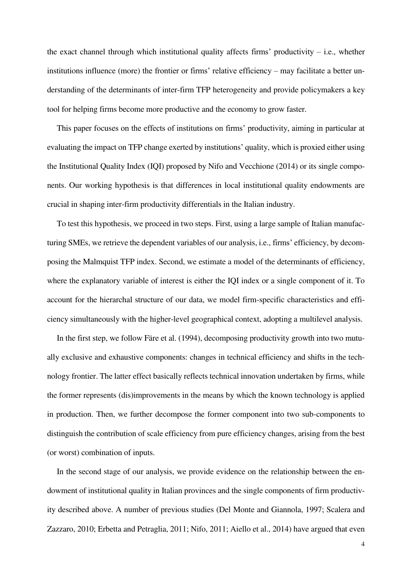the exact channel through which institutional quality affects firms' productivity  $-$  i.e., whether institutions influence (more) the frontier or firms' relative efficiency – may facilitate a better understanding of the determinants of inter-firm TFP heterogeneity and provide policymakers a key tool for helping firms become more productive and the economy to grow faster.

This paper focuses on the effects of institutions on firms' productivity, aiming in particular at evaluating the impact on TFP change exerted by institutions' quality, which is proxied either using the Institutional Quality Index (IQI) proposed by Nifo and Vecchione (2014) or its single components. Our working hypothesis is that differences in local institutional quality endowments are crucial in shaping inter-firm productivity differentials in the Italian industry.

To test this hypothesis, we proceed in two steps. First, using a large sample of Italian manufacturing SMEs, we retrieve the dependent variables of our analysis, i.e., firms' efficiency, by decomposing the Malmquist TFP index. Second, we estimate a model of the determinants of efficiency, where the explanatory variable of interest is either the IQI index or a single component of it. To account for the hierarchal structure of our data, we model firm-specific characteristics and efficiency simultaneously with the higher-level geographical context, adopting a multilevel analysis.

In the first step, we follow Färe et al. (1994), decomposing productivity growth into two mutually exclusive and exhaustive components: changes in technical efficiency and shifts in the technology frontier. The latter effect basically reflects technical innovation undertaken by firms, while the former represents (dis)improvements in the means by which the known technology is applied in production. Then, we further decompose the former component into two sub-components to distinguish the contribution of scale efficiency from pure efficiency changes, arising from the best (or worst) combination of inputs.

In the second stage of our analysis, we provide evidence on the relationship between the endowment of institutional quality in Italian provinces and the single components of firm productivity described above. A number of previous studies (Del Monte and Giannola, 1997; Scalera and Zazzaro, 2010; Erbetta and Petraglia, 2011; Nifo, 2011; Aiello et al., 2014) have argued that even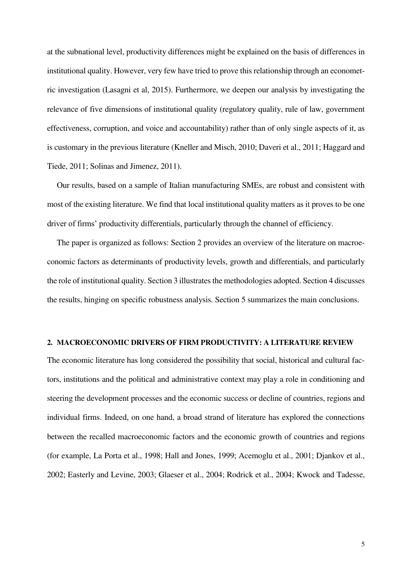at the subnational level, productivity differences might be explained on the basis of differences in institutional quality. However, very few have tried to prove this relationship through an econometric investigation (Lasagni et al, 2015). Furthermore, we deepen our analysis by investigating the relevance of five dimensions of institutional quality (regulatory quality, rule of law, government effectiveness, corruption, and voice and accountability) rather than of only single aspects of it, as is customary in the previous literature (Kneller and Misch, 2010; Daveri et al., 2011; Haggard and Tiede, 2011; Solinas and Jimenez, 2011).

Our results, based on a sample of Italian manufacturing SMEs, are robust and consistent with most of the existing literature. We find that local institutional quality matters as it proves to be one driver of firms' productivity differentials, particularly through the channel of efficiency.

The paper is organized as follows: Section 2 provides an overview of the literature on macroeconomic factors as determinants of productivity levels, growth and differentials, and particularly the role of institutional quality. Section 3 illustrates the methodologies adopted. Section 4 discusses the results, hinging on specific robustness analysis. Section 5 summarizes the main conclusions.

### **2. MACROECONOMIC DRIVERS OF FIRM PRODUCTIVITY: A LITERATURE REVIEW**

The economic literature has long considered the possibility that social, historical and cultural factors, institutions and the political and administrative context may play a role in conditioning and steering the development processes and the economic success or decline of countries, regions and individual firms. Indeed, on one hand, a broad strand of literature has explored the connections between the recalled macroeconomic factors and the economic growth of countries and regions (for example, La Porta et al., 1998; Hall and Jones, 1999; Acemoglu et al., 2001; Djankov et al., 2002; Easterly and Levine, 2003; Glaeser et al., 2004; Rodrick et al., 2004; Kwock and Tadesse,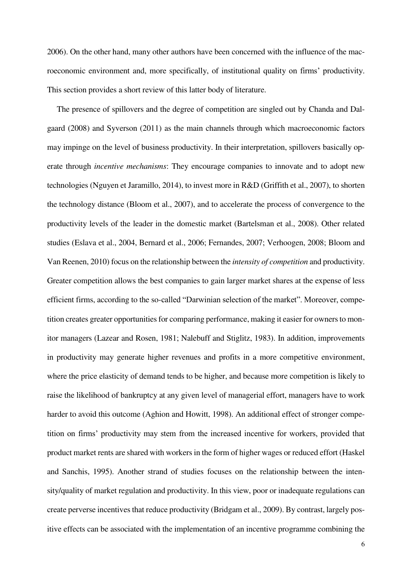2006). On the other hand, many other authors have been concerned with the influence of the macroeconomic environment and, more specifically, of institutional quality on firms' productivity. This section provides a short review of this latter body of literature.

The presence of spillovers and the degree of competition are singled out by Chanda and Dalgaard (2008) and Syverson (2011) as the main channels through which macroeconomic factors may impinge on the level of business productivity. In their interpretation, spillovers basically operate through *incentive mechanisms*: They encourage companies to innovate and to adopt new technologies (Nguyen et Jaramillo, 2014), to invest more in R&D (Griffith et al., 2007), to shorten the technology distance (Bloom et al., 2007), and to accelerate the process of convergence to the productivity levels of the leader in the domestic market (Bartelsman et al., 2008). Other related studies (Eslava et al., 2004, Bernard et al., 2006; Fernandes, 2007; Verhoogen, 2008; Bloom and Van Reenen, 2010) focus on the relationship between the *intensity of competition* and productivity. Greater competition allows the best companies to gain larger market shares at the expense of less efficient firms, according to the so-called "Darwinian selection of the market". Moreover, competition creates greater opportunities for comparing performance, making it easier for owners to monitor managers (Lazear and Rosen, 1981; Nalebuff and Stiglitz, 1983). In addition, improvements in productivity may generate higher revenues and profits in a more competitive environment, where the price elasticity of demand tends to be higher, and because more competition is likely to raise the likelihood of bankruptcy at any given level of managerial effort, managers have to work harder to avoid this outcome (Aghion and Howitt, 1998). An additional effect of stronger competition on firms' productivity may stem from the increased incentive for workers, provided that product market rents are shared with workers in the form of higher wages or reduced effort (Haskel and Sanchis, 1995). Another strand of studies focuses on the relationship between the intensity/quality of market regulation and productivity. In this view, poor or inadequate regulations can create perverse incentives that reduce productivity (Bridgam et al., 2009). By contrast, largely positive effects can be associated with the implementation of an incentive programme combining the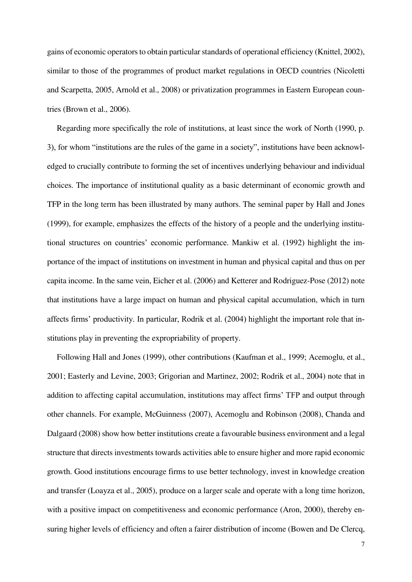gains of economic operators to obtain particular standards of operational efficiency (Knittel, 2002), similar to those of the programmes of product market regulations in OECD countries (Nicoletti and Scarpetta, 2005, Arnold et al., 2008) or privatization programmes in Eastern European countries (Brown et al., 2006).

Regarding more specifically the role of institutions, at least since the work of North (1990, p. 3), for whom "institutions are the rules of the game in a society", institutions have been acknowledged to crucially contribute to forming the set of incentives underlying behaviour and individual choices. The importance of institutional quality as a basic determinant of economic growth and TFP in the long term has been illustrated by many authors. The seminal paper by Hall and Jones (1999), for example, emphasizes the effects of the history of a people and the underlying institutional structures on countries' economic performance. Mankiw et al. (1992) highlight the importance of the impact of institutions on investment in human and physical capital and thus on per capita income. In the same vein, Eicher et al. (2006) and Ketterer and Rodriguez-Pose (2012) note that institutions have a large impact on human and physical capital accumulation, which in turn affects firms' productivity. In particular, Rodrik et al. (2004) highlight the important role that institutions play in preventing the expropriability of property.

Following Hall and Jones (1999), other contributions (Kaufman et al., 1999; Acemoglu, et al., 2001; Easterly and Levine, 2003; Grigorian and Martinez, 2002; Rodrik et al., 2004) note that in addition to affecting capital accumulation, institutions may affect firms' TFP and output through other channels. For example, McGuinness (2007), Acemoglu and Robinson (2008), Chanda and Dalgaard (2008) show how better institutions create a favourable business environment and a legal structure that directs investments towards activities able to ensure higher and more rapid economic growth. Good institutions encourage firms to use better technology, invest in knowledge creation and transfer (Loayza et al., 2005), produce on a larger scale and operate with a long time horizon, with a positive impact on competitiveness and economic performance (Aron, 2000), thereby ensuring higher levels of efficiency and often a fairer distribution of income (Bowen and De Clercq,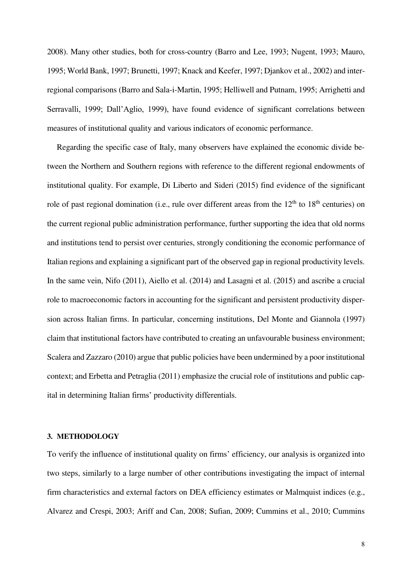2008). Many other studies, both for cross-country (Barro and Lee, 1993; Nugent, 1993; Mauro, 1995; World Bank, 1997; Brunetti, 1997; Knack and Keefer, 1997; Djankov et al., 2002) and interregional comparisons (Barro and Sala-i-Martin, 1995; Helliwell and Putnam, 1995; Arrighetti and Serravalli, 1999; Dall'Aglio, 1999), have found evidence of significant correlations between measures of institutional quality and various indicators of economic performance.

Regarding the specific case of Italy, many observers have explained the economic divide between the Northern and Southern regions with reference to the different regional endowments of institutional quality. For example, Di Liberto and Sideri (2015) find evidence of the significant role of past regional domination (i.e., rule over different areas from the  $12<sup>th</sup>$  to  $18<sup>th</sup>$  centuries) on the current regional public administration performance, further supporting the idea that old norms and institutions tend to persist over centuries, strongly conditioning the economic performance of Italian regions and explaining a significant part of the observed gap in regional productivity levels. In the same vein, Nifo (2011), Aiello et al. (2014) and Lasagni et al. (2015) and ascribe a crucial role to macroeconomic factors in accounting for the significant and persistent productivity dispersion across Italian firms. In particular, concerning institutions, Del Monte and Giannola (1997) claim that institutional factors have contributed to creating an unfavourable business environment; Scalera and Zazzaro (2010) argue that public policies have been undermined by a poor institutional context; and Erbetta and Petraglia (2011) emphasize the crucial role of institutions and public capital in determining Italian firms' productivity differentials.

### **3. METHODOLOGY**

To verify the influence of institutional quality on firms' efficiency, our analysis is organized into two steps, similarly to a large number of other contributions investigating the impact of internal firm characteristics and external factors on DEA efficiency estimates or Malmquist indices (e.g., Alvarez and Crespi, 2003; Ariff and Can, 2008; Sufian, 2009; Cummins et al., 2010; Cummins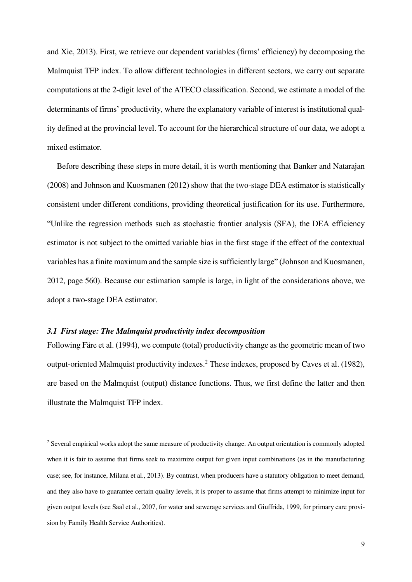and Xie, 2013). First, we retrieve our dependent variables (firms' efficiency) by decomposing the Malmquist TFP index. To allow different technologies in different sectors, we carry out separate computations at the 2-digit level of the ATECO classification. Second, we estimate a model of the determinants of firms' productivity, where the explanatory variable of interest is institutional quality defined at the provincial level. To account for the hierarchical structure of our data, we adopt a mixed estimator.

Before describing these steps in more detail, it is worth mentioning that Banker and Natarajan (2008) and Johnson and Kuosmanen (2012) show that the two-stage DEA estimator is statistically consistent under different conditions, providing theoretical justification for its use. Furthermore, "Unlike the regression methods such as stochastic frontier analysis (SFA), the DEA efficiency estimator is not subject to the omitted variable bias in the first stage if the effect of the contextual variables has a finite maximum and the sample size is sufficiently large" (Johnson and Kuosmanen, 2012, page 560). Because our estimation sample is large, in light of the considerations above, we adopt a two-stage DEA estimator.

## *3.1 First stage: The Malmquist productivity index decomposition*

 $\overline{a}$ 

Following Färe et al. (1994), we compute (total) productivity change as the geometric mean of two output-oriented Malmquist productivity indexes.<sup>2</sup> These indexes, proposed by Caves et al. (1982), are based on the Malmquist (output) distance functions. Thus, we first define the latter and then illustrate the Malmquist TFP index.

 $2$  Several empirical works adopt the same measure of productivity change. An output orientation is commonly adopted when it is fair to assume that firms seek to maximize output for given input combinations (as in the manufacturing case; see, for instance, Milana et al., 2013). By contrast, when producers have a statutory obligation to meet demand, and they also have to guarantee certain quality levels, it is proper to assume that firms attempt to minimize input for given output levels (see Saal et al., 2007, for water and sewerage services and Giuffrida, 1999, for primary care provision by Family Health Service Authorities).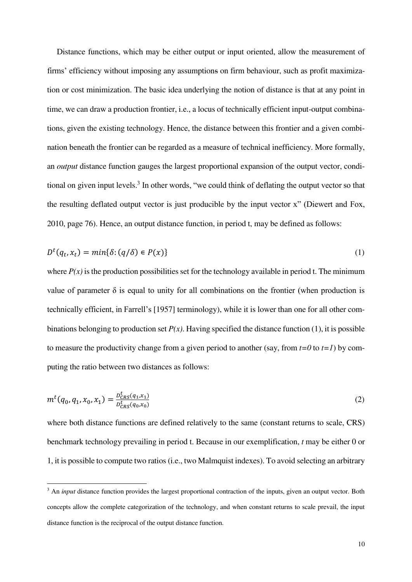Distance functions, which may be either output or input oriented, allow the measurement of firms' efficiency without imposing any assumptions on firm behaviour, such as profit maximization or cost minimization. The basic idea underlying the notion of distance is that at any point in time, we can draw a production frontier, i.e., a locus of technically efficient input-output combinations, given the existing technology. Hence, the distance between this frontier and a given combination beneath the frontier can be regarded as a measure of technical inefficiency. More formally, an *output* distance function gauges the largest proportional expansion of the output vector, conditional on given input levels.<sup>3</sup> In other words, "we could think of deflating the output vector so that the resulting deflated output vector is just producible by the input vector x" (Diewert and Fox, 2010, page 76). Hence, an output distance function, in period t, may be defined as follows:

$$
D^{t}(q_{t}, x_{t}) = min\{\delta: (q/\delta) \in P(x)\}\tag{1}
$$

where  $P(x)$  is the production possibilities set for the technology available in period t. The minimum value of parameter  $\delta$  is equal to unity for all combinations on the frontier (when production is technically efficient, in Farrell's [1957] terminology), while it is lower than one for all other combinations belonging to production set  $P(x)$ . Having specified the distance function (1), it is possible to measure the productivity change from a given period to another (say, from  $t=0$  to  $t=1$ ) by computing the ratio between two distances as follows:

$$
m^t(q_0, q_1, x_0, x_1) = \frac{p_{CRS}^t(q_1, x_1)}{p_{CRS}^t(q_0, x_0)}
$$
(2)

where both distance functions are defined relatively to the same (constant returns to scale, CRS) benchmark technology prevailing in period t. Because in our exemplification, *t* may be either 0 or 1, it is possible to compute two ratios (i.e., two Malmquist indexes). To avoid selecting an arbitrary

l

<sup>&</sup>lt;sup>3</sup> An *input* distance function provides the largest proportional contraction of the inputs, given an output vector. Both concepts allow the complete categorization of the technology, and when constant returns to scale prevail, the input distance function is the reciprocal of the output distance function.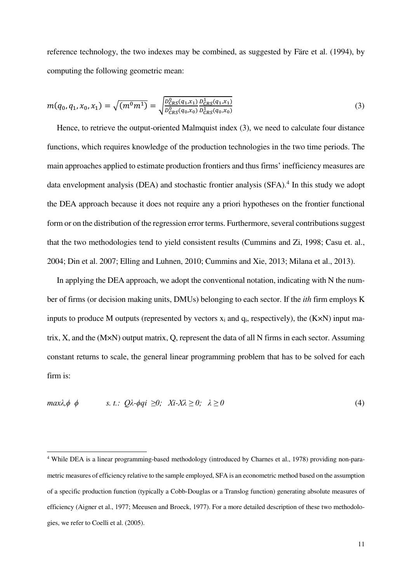reference technology, the two indexes may be combined, as suggested by Färe et al. (1994), by computing the following geometric mean:

$$
m(q_0, q_1, x_0, x_1) = \sqrt{(m^0 m^1)} = \sqrt{\frac{D_{CRS}^0(q_1, x_1)}{D_{CRS}^0(q_0, x_0)} \frac{D_{CRS}^1(q_1, x_1)}{D_{CRS}^1(q_0, x_0)}}
$$
(3)

Hence, to retrieve the output-oriented Malmquist index (3), we need to calculate four distance functions, which requires knowledge of the production technologies in the two time periods. The main approaches applied to estimate production frontiers and thus firms' inefficiency measures are data envelopment analysis (DEA) and stochastic frontier analysis (SFA).<sup>4</sup> In this study we adopt the DEA approach because it does not require any a priori hypotheses on the frontier functional form or on the distribution of the regression error terms. Furthermore, several contributions suggest that the two methodologies tend to yield consistent results (Cummins and Zi, 1998; Casu et. al., 2004; Din et al. 2007; Elling and Luhnen, 2010; Cummins and Xie, 2013; Milana et al., 2013).

In applying the DEA approach, we adopt the conventional notation, indicating with N the number of firms (or decision making units, DMUs) belonging to each sector. If the *ith* firm employs K inputs to produce M outputs (represented by vectors  $x_i$  and  $q_i$ , respectively), the  $(K \times N)$  input matrix, X, and the (M×N) output matrix, Q, represent the data of all N firms in each sector. Assuming constant returns to scale, the general linear programming problem that has to be solved for each firm is:

$$
\max \lambda, \phi \quad \phi \quad s. \quad t. : Q\lambda - \phi q i \geq 0; \quad Xi - X\lambda \geq 0; \quad \lambda \geq 0 \tag{4}
$$

 $\overline{a}$ 

<sup>&</sup>lt;sup>4</sup> While DEA is a linear programming-based methodology (introduced by Charnes et al., 1978) providing non-parametric measures of efficiency relative to the sample employed, SFA is an econometric method based on the assumption of a specific production function (typically a Cobb-Douglas or a Translog function) generating absolute measures of efficiency (Aigner et al., 1977; Meeusen and Broeck, 1977). For a more detailed description of these two methodologies, we refer to Coelli et al. (2005).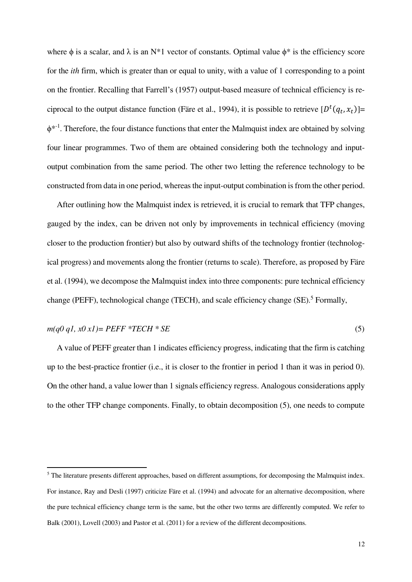where  $\phi$  is a scalar, and  $\lambda$  is an N\*1 vector of constants. Optimal value  $\phi^*$  is the efficiency score for the *ith* firm, which is greater than or equal to unity, with a value of 1 corresponding to a point on the frontier. Recalling that Farrell's (1957) output-based measure of technical efficiency is reciprocal to the output distance function (Färe et al., 1994), it is possible to retrieve  $[D^t(q_t, x_t)]$  $\phi^{*1}$ . Therefore, the four distance functions that enter the Malmquist index are obtained by solving four linear programmes. Two of them are obtained considering both the technology and inputoutput combination from the same period. The other two letting the reference technology to be constructed from data in one period, whereas the input-output combination is from the other period.

After outlining how the Malmquist index is retrieved, it is crucial to remark that TFP changes, gauged by the index, can be driven not only by improvements in technical efficiency (moving closer to the production frontier) but also by outward shifts of the technology frontier (technological progress) and movements along the frontier (returns to scale). Therefore, as proposed by Färe et al. (1994), we decompose the Malmquist index into three components: pure technical efficiency change (PEFF), technological change (TECH), and scale efficiency change (SE).<sup>5</sup> Formally,

$$
m(q0 q1, x0 x1) = PEFF *TECH * SE
$$
\n
$$
(5)
$$

A value of PEFF greater than 1 indicates efficiency progress, indicating that the firm is catching up to the best-practice frontier (i.e., it is closer to the frontier in period 1 than it was in period 0). On the other hand, a value lower than 1 signals efficiency regress. Analogous considerations apply to the other TFP change components. Finally, to obtain decomposition (5), one needs to compute

l

<sup>&</sup>lt;sup>5</sup> The literature presents different approaches, based on different assumptions, for decomposing the Malmquist index. For instance, Ray and Desli (1997) criticize Färe et al. (1994) and advocate for an alternative decomposition, where the pure technical efficiency change term is the same, but the other two terms are differently computed. We refer to Balk (2001), Lovell (2003) and Pastor et al. (2011) for a review of the different decompositions.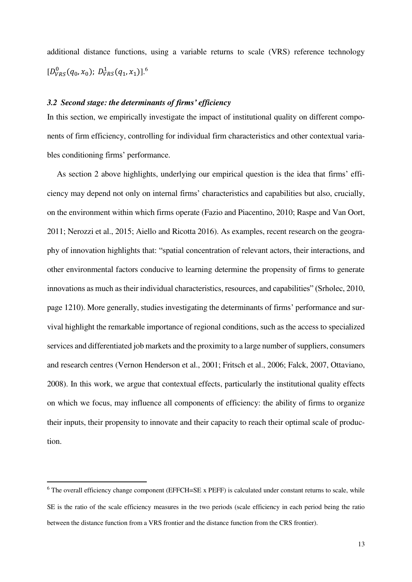additional distance functions, using a variable returns to scale (VRS) reference technology  $[D_{VRS}^0(q_0, x_0); D_{VRS}^1(q_1, x_1)].^6$ 

## *3.2 Second stage: the determinants of firms' efficiency*

In this section, we empirically investigate the impact of institutional quality on different components of firm efficiency, controlling for individual firm characteristics and other contextual variables conditioning firms' performance.

As section 2 above highlights, underlying our empirical question is the idea that firms' efficiency may depend not only on internal firms' characteristics and capabilities but also, crucially, on the environment within which firms operate (Fazio and Piacentino, 2010; Raspe and Van Oort, 2011; Nerozzi et al., 2015; Aiello and Ricotta 2016). As examples, recent research on the geography of innovation highlights that: "spatial concentration of relevant actors, their interactions, and other environmental factors conducive to learning determine the propensity of firms to generate innovations as much as their individual characteristics, resources, and capabilities" (Srholec, 2010, page 1210). More generally, studies investigating the determinants of firms' performance and survival highlight the remarkable importance of regional conditions, such as the access to specialized services and differentiated job markets and the proximity to a large number of suppliers, consumers and research centres (Vernon Henderson et al., 2001; Fritsch et al., 2006; Falck, 2007, Ottaviano, 2008). In this work, we argue that contextual effects, particularly the institutional quality effects on which we focus, may influence all components of efficiency: the ability of firms to organize their inputs, their propensity to innovate and their capacity to reach their optimal scale of production.

l

<sup>&</sup>lt;sup>6</sup> The overall efficiency change component (EFFCH=SE x PEFF) is calculated under constant returns to scale, while SE is the ratio of the scale efficiency measures in the two periods (scale efficiency in each period being the ratio between the distance function from a VRS frontier and the distance function from the CRS frontier).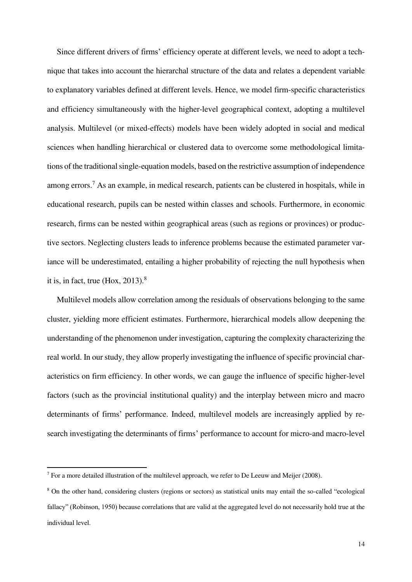Since different drivers of firms' efficiency operate at different levels, we need to adopt a technique that takes into account the hierarchal structure of the data and relates a dependent variable to explanatory variables defined at different levels. Hence, we model firm-specific characteristics and efficiency simultaneously with the higher-level geographical context, adopting a multilevel analysis. Multilevel (or mixed-effects) models have been widely adopted in social and medical sciences when handling hierarchical or clustered data to overcome some methodological limitations of the traditional single-equation models, based on the restrictive assumption of independence among errors.<sup>7</sup> As an example, in medical research, patients can be clustered in hospitals, while in educational research, pupils can be nested within classes and schools. Furthermore, in economic research, firms can be nested within geographical areas (such as regions or provinces) or productive sectors. Neglecting clusters leads to inference problems because the estimated parameter variance will be underestimated, entailing a higher probability of rejecting the null hypothesis when it is, in fact, true  $(Hox, 2013)^8$ 

Multilevel models allow correlation among the residuals of observations belonging to the same cluster, yielding more efficient estimates. Furthermore, hierarchical models allow deepening the understanding of the phenomenon under investigation, capturing the complexity characterizing the real world. In our study, they allow properly investigating the influence of specific provincial characteristics on firm efficiency. In other words, we can gauge the influence of specific higher-level factors (such as the provincial institutional quality) and the interplay between micro and macro determinants of firms' performance. Indeed, multilevel models are increasingly applied by research investigating the determinants of firms' performance to account for micro-and macro-level

 $\overline{a}$ 

<sup>&</sup>lt;sup>7</sup> For a more detailed illustration of the multilevel approach, we refer to De Leeuw and Meijer (2008).

<sup>&</sup>lt;sup>8</sup> On the other hand, considering clusters (regions or sectors) as statistical units may entail the so-called "ecological fallacy" (Robinson, 1950) because correlations that are valid at the aggregated level do not necessarily hold true at the individual level.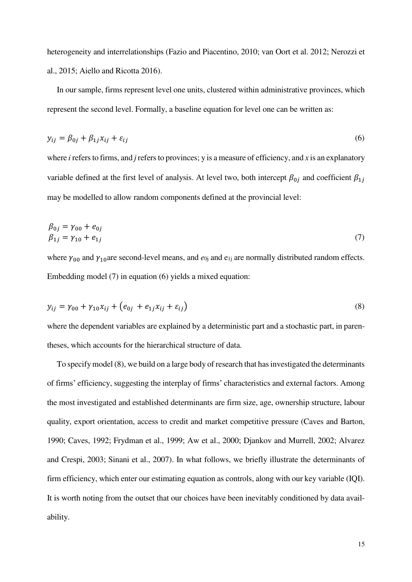heterogeneity and interrelationships (Fazio and Piacentino, 2010; van Oort et al. 2012; Nerozzi et al., 2015; Aiello and Ricotta 2016).

In our sample, firms represent level one units, clustered within administrative provinces, which represent the second level. Formally, a baseline equation for level one can be written as:

$$
y_{ij} = \beta_{0j} + \beta_{1j} x_{ij} + \varepsilon_{ij}
$$
 (6)

where *i* refers to firms, and *j* refers to provinces; y is a measure of efficiency, and *x* is an explanatory variable defined at the first level of analysis. At level two, both intercept  $\beta_{0j}$  and coefficient  $\beta_{1j}$ may be modelled to allow random components defined at the provincial level:

$$
\begin{aligned} \beta_{0j} &= \gamma_{00} + e_{0j} \\ \beta_{1j} &= \gamma_{10} + e_{1j} \end{aligned} \tag{7}
$$

where  $\gamma_{00}$  and  $\gamma_{10}$  are second-level means, and  $e_{0j}$  and  $e_{1j}$  are normally distributed random effects. Embedding model (7) in equation (6) yields a mixed equation:

$$
y_{ij} = \gamma_{00} + \gamma_{10} x_{ij} + (e_{0j} + e_{1j} x_{ij} + \varepsilon_{ij})
$$
\n(8)

where the dependent variables are explained by a deterministic part and a stochastic part, in parentheses, which accounts for the hierarchical structure of data.

To specify model (8), we build on a large body of research that has investigated the determinants of firms' efficiency, suggesting the interplay of firms' characteristics and external factors. Among the most investigated and established determinants are firm size, age, ownership structure, labour quality, export orientation, access to credit and market competitive pressure (Caves and Barton, 1990; Caves, 1992; Frydman et al., 1999; Aw et al., 2000; Djankov and Murrell, 2002; Alvarez and Crespi, 2003; Sinani et al., 2007). In what follows, we briefly illustrate the determinants of firm efficiency, which enter our estimating equation as controls, along with our key variable (IQI). It is worth noting from the outset that our choices have been inevitably conditioned by data availability.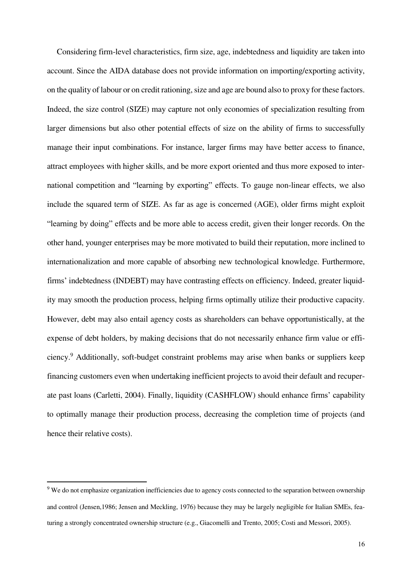Considering firm-level characteristics, firm size, age, indebtedness and liquidity are taken into account. Since the AIDA database does not provide information on importing/exporting activity, on the quality of labour or on credit rationing, size and age are bound also to proxy for these factors. Indeed, the size control (SIZE) may capture not only economies of specialization resulting from larger dimensions but also other potential effects of size on the ability of firms to successfully manage their input combinations. For instance, larger firms may have better access to finance, attract employees with higher skills, and be more export oriented and thus more exposed to international competition and "learning by exporting" effects. To gauge non-linear effects, we also include the squared term of SIZE. As far as age is concerned (AGE), older firms might exploit "learning by doing" effects and be more able to access credit, given their longer records. On the other hand, younger enterprises may be more motivated to build their reputation, more inclined to internationalization and more capable of absorbing new technological knowledge. Furthermore, firms' indebtedness (INDEBT) may have contrasting effects on efficiency. Indeed, greater liquidity may smooth the production process, helping firms optimally utilize their productive capacity. However, debt may also entail agency costs as shareholders can behave opportunistically, at the expense of debt holders, by making decisions that do not necessarily enhance firm value or efficiency.<sup>9</sup> Additionally, soft-budget constraint problems may arise when banks or suppliers keep financing customers even when undertaking inefficient projects to avoid their default and recuperate past loans (Carletti, 2004). Finally, liquidity (CASHFLOW) should enhance firms' capability to optimally manage their production process, decreasing the completion time of projects (and hence their relative costs).

l

<sup>&</sup>lt;sup>9</sup> We do not emphasize organization inefficiencies due to agency costs connected to the separation between ownership and control (Jensen,1986; Jensen and Meckling, 1976) because they may be largely negligible for Italian SMEs, featuring a strongly concentrated ownership structure (e.g., Giacomelli and Trento, 2005; Costi and Messori, 2005).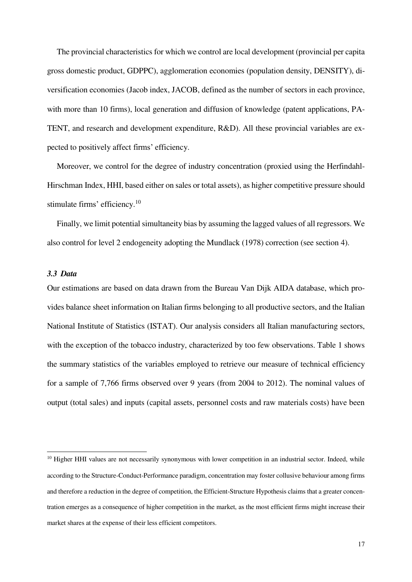The provincial characteristics for which we control are local development (provincial per capita gross domestic product, GDPPC), agglomeration economies (population density, DENSITY), diversification economies (Jacob index, JACOB, defined as the number of sectors in each province, with more than 10 firms), local generation and diffusion of knowledge (patent applications, PA-TENT, and research and development expenditure, R&D). All these provincial variables are expected to positively affect firms' efficiency.

Moreover, we control for the degree of industry concentration (proxied using the Herfindahl-Hirschman Index, HHI, based either on sales or total assets), as higher competitive pressure should stimulate firms' efficiency.<sup>10</sup>

Finally, we limit potential simultaneity bias by assuming the lagged values of all regressors. We also control for level 2 endogeneity adopting the Mundlack (1978) correction (see section 4).

#### *3.3 Data*

 $\overline{a}$ 

Our estimations are based on data drawn from the Bureau Van Dijk AIDA database, which provides balance sheet information on Italian firms belonging to all productive sectors, and the Italian National Institute of Statistics (ISTAT). Our analysis considers all Italian manufacturing sectors, with the exception of the tobacco industry, characterized by too few observations. Table 1 shows the summary statistics of the variables employed to retrieve our measure of technical efficiency for a sample of 7,766 firms observed over 9 years (from 2004 to 2012). The nominal values of output (total sales) and inputs (capital assets, personnel costs and raw materials costs) have been

<sup>&</sup>lt;sup>10</sup> Higher HHI values are not necessarily synonymous with lower competition in an industrial sector. Indeed, while according to the Structure-Conduct-Performance paradigm, concentration may foster collusive behaviour among firms and therefore a reduction in the degree of competition, the Efficient-Structure Hypothesis claims that a greater concentration emerges as a consequence of higher competition in the market, as the most efficient firms might increase their market shares at the expense of their less efficient competitors.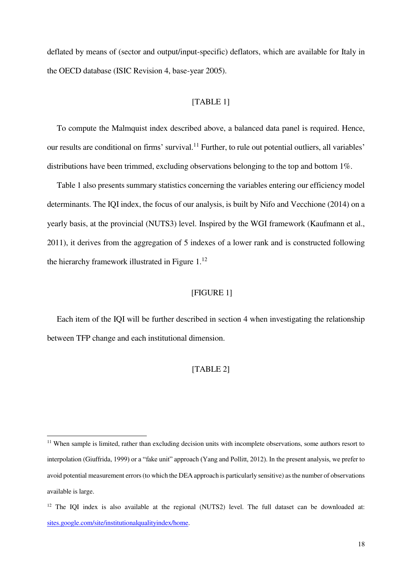deflated by means of (sector and output/input-specific) deflators, which are available for Italy in the OECD database (ISIC Revision 4, base-year 2005).

## [TABLE 1]

To compute the Malmquist index described above, a balanced data panel is required. Hence, our results are conditional on firms' survival.<sup>11</sup> Further, to rule out potential outliers, all variables' distributions have been trimmed, excluding observations belonging to the top and bottom 1%.

Table 1 also presents summary statistics concerning the variables entering our efficiency model determinants. The IQI index, the focus of our analysis, is built by Nifo and Vecchione (2014) on a yearly basis, at the provincial (NUTS3) level. Inspired by the WGI framework (Kaufmann et al., 2011), it derives from the aggregation of 5 indexes of a lower rank and is constructed following the hierarchy framework illustrated in Figure 1.<sup>12</sup>

## [FIGURE 1]

Each item of the IQI will be further described in section 4 when investigating the relationship between TFP change and each institutional dimension.

## [TABLE 2]

 $\overline{a}$ 

 $11$  When sample is limited, rather than excluding decision units with incomplete observations, some authors resort to interpolation (Giuffrida, 1999) or a "fake unit" approach (Yang and Pollitt, 2012). In the present analysis, we prefer to avoid potential measurement errors (to which the DEA approach is particularly sensitive) as the number of observations available is large.

<sup>&</sup>lt;sup>12</sup> The IQI index is also available at the regional (NUTS2) level. The full dataset can be downloaded at: [sites.google.com/site/institutionalqualityindex/home.](https://sites.google.com/site/institutionalqualityindex/home)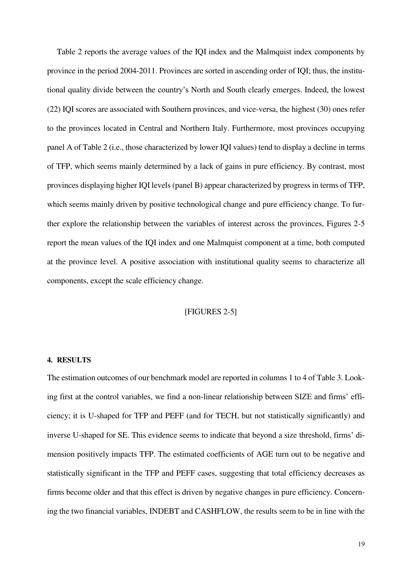Table 2 reports the average values of the IQI index and the Malmquist index components by province in the period 2004-2011. Provinces are sorted in ascending order of IQI; thus, the institutional quality divide between the country's North and South clearly emerges. Indeed, the lowest (22) IQI scores are associated with Southern provinces, and vice-versa, the highest (30) ones refer to the provinces located in Central and Northern Italy. Furthermore, most provinces occupying panel A of Table 2 (i.e., those characterized by lower IQI values) tend to display a decline in terms of TFP, which seems mainly determined by a lack of gains in pure efficiency. By contrast, most provinces displaying higher IQI levels (panel B) appear characterized by progress in terms of TFP, which seems mainly driven by positive technological change and pure efficiency change. To further explore the relationship between the variables of interest across the provinces, Figures 2-5 report the mean values of the IQI index and one Malmquist component at a time, both computed at the province level. A positive association with institutional quality seems to characterize all components, except the scale efficiency change.

## [FIGURES 2-5]

### **4. RESULTS**

The estimation outcomes of our benchmark model are reported in columns 1 to 4 of Table 3. Looking first at the control variables, we find a non-linear relationship between SIZE and firms' efficiency; it is U-shaped for TFP and PEFF (and for TECH, but not statistically significantly) and inverse U-shaped for SE. This evidence seems to indicate that beyond a size threshold, firms' dimension positively impacts TFP. The estimated coefficients of AGE turn out to be negative and statistically significant in the TFP and PEFF cases, suggesting that total efficiency decreases as firms become older and that this effect is driven by negative changes in pure efficiency. Concerning the two financial variables, INDEBT and CASHFLOW, the results seem to be in line with the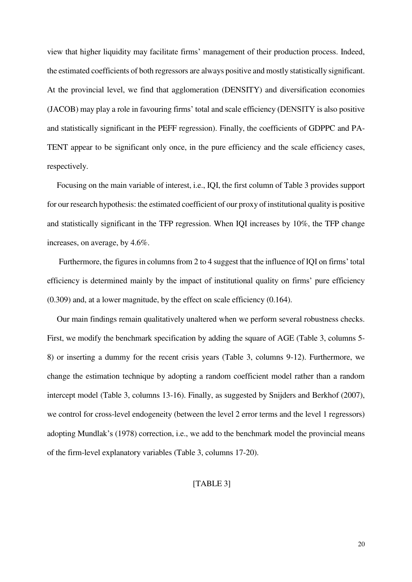view that higher liquidity may facilitate firms' management of their production process. Indeed, the estimated coefficients of both regressors are always positive and mostly statistically significant. At the provincial level, we find that agglomeration (DENSITY) and diversification economies (JACOB) may play a role in favouring firms' total and scale efficiency (DENSITY is also positive and statistically significant in the PEFF regression). Finally, the coefficients of GDPPC and PA-TENT appear to be significant only once, in the pure efficiency and the scale efficiency cases, respectively.

Focusing on the main variable of interest, i.e., IQI, the first column of Table 3 provides support for our research hypothesis: the estimated coefficient of our proxy of institutional quality is positive and statistically significant in the TFP regression. When IQI increases by 10%, the TFP change increases, on average, by 4.6%.

 Furthermore, the figures in columns from 2 to 4 suggest that the influence of IQI on firms' total efficiency is determined mainly by the impact of institutional quality on firms' pure efficiency (0.309) and, at a lower magnitude, by the effect on scale efficiency (0.164).

Our main findings remain qualitatively unaltered when we perform several robustness checks. First, we modify the benchmark specification by adding the square of AGE (Table 3, columns 5- 8) or inserting a dummy for the recent crisis years (Table 3, columns 9-12). Furthermore, we change the estimation technique by adopting a random coefficient model rather than a random intercept model (Table 3, columns 13-16). Finally, as suggested by Snijders and Berkhof (2007), we control for cross-level endogeneity (between the level 2 error terms and the level 1 regressors) adopting Mundlak's (1978) correction, i.e., we add to the benchmark model the provincial means of the firm-level explanatory variables (Table 3, columns 17-20).

## [TABLE 3]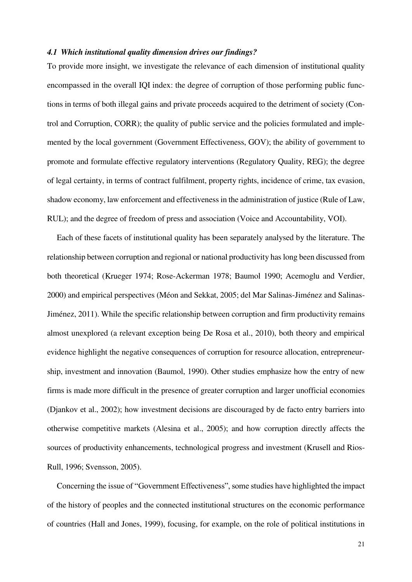## *4.1 Which institutional quality dimension drives our findings?*

To provide more insight, we investigate the relevance of each dimension of institutional quality encompassed in the overall IQI index: the degree of corruption of those performing public functions in terms of both illegal gains and private proceeds acquired to the detriment of society (Control and Corruption, CORR); the quality of public service and the policies formulated and implemented by the local government (Government Effectiveness, GOV); the ability of government to promote and formulate effective regulatory interventions (Regulatory Quality, REG); the degree of legal certainty, in terms of contract fulfilment, property rights, incidence of crime, tax evasion, shadow economy, law enforcement and effectiveness in the administration of justice (Rule of Law, RUL); and the degree of freedom of press and association (Voice and Accountability, VOI).

Each of these facets of institutional quality has been separately analysed by the literature. The relationship between corruption and regional or national productivity has long been discussed from both theoretical (Krueger 1974; Rose-Ackerman 1978; Baumol 1990; Acemoglu and Verdier, 2000) and empirical perspectives (Méon and Sekkat, 2005; del Mar Salinas-Jiménez and Salinas-Jiménez, 2011). While the specific relationship between corruption and firm productivity remains almost unexplored (a relevant exception being De Rosa et al., 2010), both theory and empirical evidence highlight the negative consequences of corruption for resource allocation, entrepreneurship, investment and innovation (Baumol, 1990). Other studies emphasize how the entry of new firms is made more difficult in the presence of greater corruption and larger unofficial economies (Djankov et al., 2002); how investment decisions are discouraged by de facto entry barriers into otherwise competitive markets (Alesina et al., 2005); and how corruption directly affects the sources of productivity enhancements, technological progress and investment (Krusell and Rios-Rull, 1996; Svensson, 2005).

Concerning the issue of "Government Effectiveness", some studies have highlighted the impact of the history of peoples and the connected institutional structures on the economic performance of countries (Hall and Jones, 1999), focusing, for example, on the role of political institutions in

21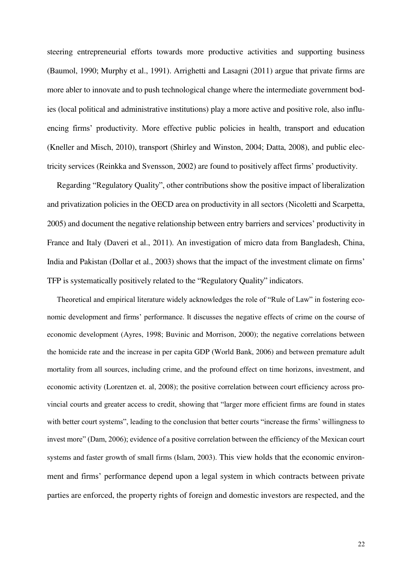steering entrepreneurial efforts towards more productive activities and supporting business (Baumol, 1990; Murphy et al., 1991). Arrighetti and Lasagni (2011) argue that private firms are more abler to innovate and to push technological change where the intermediate government bodies (local political and administrative institutions) play a more active and positive role, also influencing firms' productivity. More effective public policies in health, transport and education (Kneller and Misch, 2010), transport (Shirley and Winston, 2004; Datta, 2008), and public electricity services (Reinkka and Svensson, 2002) are found to positively affect firms' productivity.

Regarding "Regulatory Quality", other contributions show the positive impact of liberalization and privatization policies in the OECD area on productivity in all sectors (Nicoletti and Scarpetta, 2005) and document the negative relationship between entry barriers and services' productivity in France and Italy (Daveri et al., 2011). An investigation of micro data from Bangladesh, China, India and Pakistan (Dollar et al., 2003) shows that the impact of the investment climate on firms' TFP is systematically positively related to the "Regulatory Quality" indicators.

Theoretical and empirical literature widely acknowledges the role of "Rule of Law" in fostering economic development and firms' performance. It discusses the negative effects of crime on the course of economic development (Ayres, 1998; Buvinic and Morrison, 2000); the negative correlations between the homicide rate and the increase in per capita GDP (World Bank, 2006) and between premature adult mortality from all sources, including crime, and the profound effect on time horizons, investment, and economic activity (Lorentzen et. al, 2008); the positive correlation between court efficiency across provincial courts and greater access to credit, showing that "larger more efficient firms are found in states with better court systems", leading to the conclusion that better courts "increase the firms' willingness to invest more" (Dam, 2006); evidence of a positive correlation between the efficiency of the Mexican court systems and faster growth of small firms (Islam, 2003). This view holds that the economic environment and firms' performance depend upon a legal system in which contracts between private parties are enforced, the property rights of foreign and domestic investors are respected, and the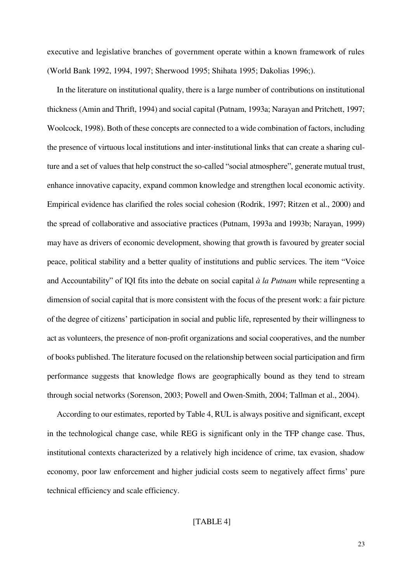executive and legislative branches of government operate within a known framework of rules (World Bank 1992, 1994, 1997; Sherwood 1995; Shihata 1995; Dakolias 1996;).

In the literature on institutional quality, there is a large number of contributions on institutional thickness (Amin and Thrift, 1994) and social capital (Putnam, 1993a; Narayan and Pritchett, 1997; Woolcock, 1998). Both of these concepts are connected to a wide combination of factors, including the presence of virtuous local institutions and inter-institutional links that can create a sharing culture and a set of values that help construct the so-called "social atmosphere", generate mutual trust, enhance innovative capacity, expand common knowledge and strengthen local economic activity. Empirical evidence has clarified the roles social cohesion (Rodrik, 1997; Ritzen et al., 2000) and the spread of collaborative and associative practices (Putnam, 1993a and 1993b; Narayan, 1999) may have as drivers of economic development, showing that growth is favoured by greater social peace, political stability and a better quality of institutions and public services. The item "Voice and Accountability" of IQI fits into the debate on social capital *à la Putnam* while representing a dimension of social capital that is more consistent with the focus of the present work: a fair picture of the degree of citizens' participation in social and public life, represented by their willingness to act as volunteers, the presence of non-profit organizations and social cooperatives, and the number of books published. The literature focused on the relationship between social participation and firm performance suggests that knowledge flows are geographically bound as they tend to stream through social networks (Sorenson, 2003; Powell and Owen-Smith, 2004; Tallman et al., 2004).

According to our estimates, reported by Table 4, RUL is always positive and significant, except in the technological change case, while REG is significant only in the TFP change case. Thus, institutional contexts characterized by a relatively high incidence of crime, tax evasion, shadow economy, poor law enforcement and higher judicial costs seem to negatively affect firms' pure technical efficiency and scale efficiency.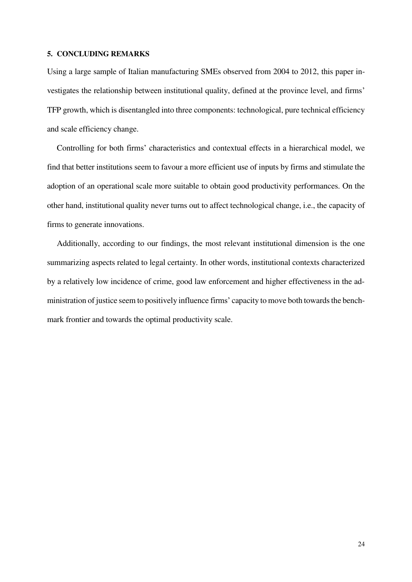## **5. CONCLUDING REMARKS**

Using a large sample of Italian manufacturing SMEs observed from 2004 to 2012, this paper investigates the relationship between institutional quality, defined at the province level, and firms' TFP growth, which is disentangled into three components: technological, pure technical efficiency and scale efficiency change.

Controlling for both firms' characteristics and contextual effects in a hierarchical model, we find that better institutions seem to favour a more efficient use of inputs by firms and stimulate the adoption of an operational scale more suitable to obtain good productivity performances. On the other hand, institutional quality never turns out to affect technological change, i.e., the capacity of firms to generate innovations.

Additionally, according to our findings, the most relevant institutional dimension is the one summarizing aspects related to legal certainty. In other words, institutional contexts characterized by a relatively low incidence of crime, good law enforcement and higher effectiveness in the administration of justice seem to positively influence firms' capacity to move both towards the benchmark frontier and towards the optimal productivity scale.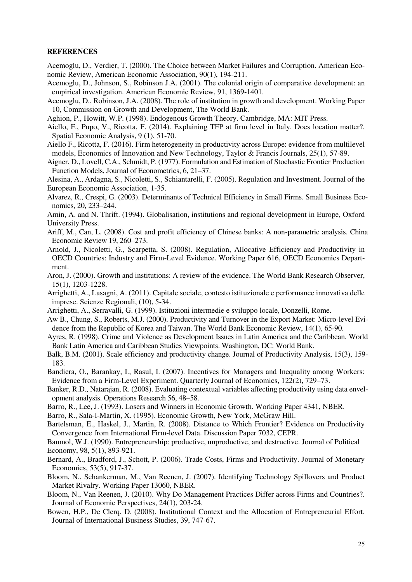#### **REFERENCES**

- Acemoglu, D., Verdier, T. (2000). The Choice between Market Failures and Corruption. American Economic Review, American Economic Association, 90(1), 194-211.
- Acemoglu, D., Johnson, S., Robinson J.A. (2001). The colonial origin of comparative development: an empirical investigation. American Economic Review, 91, 1369-1401.
- Acemoglu, D., Robinson, J.A. (2008). The role of institution in growth and development. Working Paper 10, Commission on Growth and Development, The World Bank.
- Aghion, P., Howitt, W.P. (1998). Endogenous Growth Theory. Cambridge, MA: MIT Press.
- Aiello, F., Pupo, V., Ricotta, F. (2014). Explaining TFP at firm level in Italy. Does location matter?. Spatial Economic Analysis, 9 (1), 51-70.
- Aiello F., Ricotta, F. (2016). [Firm heterogeneity in productivity across Europe: evidence from multilevel](https://ideas.repec.org/a/taf/ecinnt/v25y2016i1p57-89.html)  [models,](https://ideas.repec.org/a/taf/ecinnt/v25y2016i1p57-89.html) [Economics of Innovation and New Technology,](https://ideas.repec.org/s/taf/ecinnt.html) Taylor & Francis Journals, 25(1), 57-89.
- Aigner, D., Lovell, C.A., Schmidt, P. (1977). Formulation and Estimation of Stochastic Frontier Production Function Models, Journal of Econometrics, 6, 21–37.
- Alesina, A., Ardagna, S., Nicoletti, S., Schiantarelli, F. (2005). Regulation and Investment. Journal of the European Economic Association, 1-35.
- Alvarez, R., Crespi, G. (2003). Determinants of Technical Efficiency in Small Firms. Small Business Economics, 20, 233–244.
- Amin, A. and N. Thrift. (1994). Globalisation, institutions and regional development in Europe, Oxford University Press.
- Ariff, M., Can, L. (2008). Cost and profit efficiency of Chinese banks: A non-parametric analysis. China Economic Review 19, 260–273.
- Arnold, J., Nicoletti, G., Scarpetta, S. (2008). Regulation, Allocative Efficiency and Productivity in OECD Countries: Industry and Firm-Level Evidence. Working Paper 616, OECD Economics Department.
- Aron, J. (2000). Growth and institutions: A review of the evidence. The World Bank Research Observer, 15(1), 1203-1228.
- Arrighetti, A., Lasagni, A. (2011). Capitale sociale, contesto istituzionale e performance innovativa delle imprese. Scienze Regionali, (10), 5-34.
- Arrighetti, A., Serravalli, G. (1999). Istituzioni intermedie e sviluppo locale, Donzelli, Rome.
- Aw B., Chung, S., Roberts, M.J. (2000). Productivity and Turnover in the Export Market: Micro-level Evidence from the Republic of Korea and Taiwan. The World Bank Economic Review, 14(1), 65-90.
- Ayres, R. (1998). Crime and Violence as Development Issues in Latin America and the Caribbean. World Bank Latin America and Caribbean Studies Viewpoints. Washington, DC: World Bank.
- Balk, B.M. (2001). Scale efficiency and productivity change. Journal of Productivity Analysis, 15(3), 159- 183.
- Bandiera, O., Barankay, I., Rasul, I. (2007). Incentives for Managers and Inequality among Workers: Evidence from a Firm-Level Experiment. Quarterly Journal of Economics, 122(2), 729–73.
- Banker, R.D., Natarajan, R. (2008). Evaluating contextual variables affecting productivity using data envelopment analysis. Operations Research 56, 48–58.
- Barro, R., Lee, J. (1993). Losers and Winners in Economic Growth. Working Paper 4341, NBER.

Barro, R., Sala-I-Martin, X. (1995). Economic Growth, New York, McGraw Hill.

- Bartelsman, E., Haskel, J., Martin, R. (2008). Distance to Which Frontier? Evidence on Productivity Convergence from International Firm-level Data. Discussion Paper 7032, CEPR.
- Baumol, W.J. (1990). Entrepreneurship: productive, unproductive, and destructive. Journal of Political Economy, 98, 5(1), 893-921.
- Bernard, A., Bradford, J., Schott, P. (2006). Trade Costs, Firms and Productivity. Journal of Monetary Economics, 53(5), 917-37.
- Bloom, N., Schankerman, M., Van Reenen, J. (2007). Identifying Technology Spillovers and Product Market Rivalry. Working Paper 13060, NBER.
- Bloom, N., Van Reenen, J. (2010). Why Do Management Practices Differ across Firms and Countries?. Journal of Economic Perspectives, 24(1), 203-24.
- Bowen, H.P., De Clerq, D. (2008). Institutional Context and the Allocation of Entrepreneurial Effort. Journal of International Business Studies, 39, 747-67.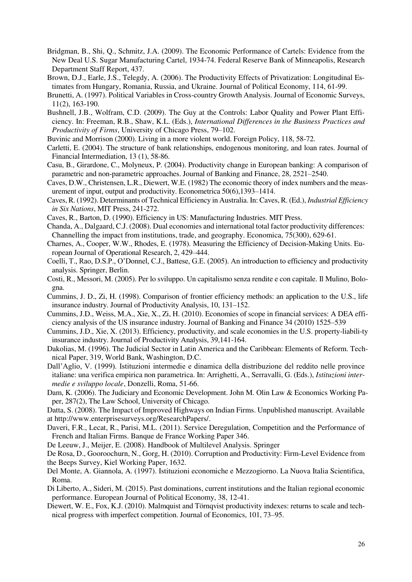- Bridgman, B., Shi, Q., Schmitz, J.A. (2009). The Economic Performance of Cartels: Evidence from the New Deal U.S. Sugar Manufacturing Cartel, 1934-74. Federal Reserve Bank of Minneapolis, Research Department Staff Report, 437.
- Brown, D.J., Earle, J.S., Telegdy, A. (2006). The Productivity Effects of Privatization: Longitudinal Estimates from Hungary, Romania, Russia, and Ukraine. Journal of Political Economy, 114, 61-99.
- Brunetti, A. (1997). Political Variables in Cross-country Growth Analysis. Journal of Economic Surveys, 11(2), 163-190.
- Bushnell, J.B., Wolfram, C.D. (2009). The Guy at the Controls: Labor Quality and Power Plant Efficiency. In: Freeman, R.B., Shaw, K.L. (Eds.), *International Differences in the Business Practices and Productivity of Firms*, University of Chicago Press, 79–102.
- Buvinic and Morrison (2000). Living in a more violent world. Foreign Policy, 118, 58-72.
- Carletti, E. (2004). The structure of bank relationships, endogenous monitoring, and loan rates. Journal of Financial Intermediation, 13 (1), 58-86.
- Casu, B., Girardone, C., Molyneux, P. (2004). Productivity change in European banking: A comparison of parametric and non-parametric approaches. Journal of Banking and Finance, 28, 2521–2540.
- Caves, D.W., Christensen, L.R., Diewert, W.E. (1982) The economic theory of index numbers and the measurement of input, output and productivity. Econometrica 50(6),1393–1414.
- Caves, R. (1992). Determinants of Technical Efficiency in Australia. In: Caves, R. (Ed.), *Industrial Efficiency in Six Nations*, MIT Press, 241-272.
- Caves, R., Barton, D. (1990). Efficiency in US: Manufacturing Industries. MIT Press.
- Chanda, A., Dalgaard, C.J. (2008). Dual economies and international total factor productivity differences: Channelling the impact from institutions, trade, and geography. Economica, 75(300), 629-61.
- Charnes, A., Cooper, W.W., Rhodes, E. (1978). Measuring the Efficiency of Decision-Making Units. European Journal of Operational Research, 2, 429–444.
- Coelli, T., Rao, D.S.P., O'Donnel, C.J., Battese, G.E. (2005). An introduction to efficiency and productivity analysis. Springer, Berlin.
- Costi, R., Messori, M. (2005). Per lo sviluppo. Un capitalismo senza rendite e con capitale. Il Mulino, Bologna.
- Cummins, J. D., Zi, H. (1998). Comparison of frontier efficiency methods: an application to the U.S., life insurance industry. Journal of Productivity Analysis, 10, 131–152.
- Cummins, J.D., Weiss, M.A., Xie, X., Zi, H. (2010). Economies of scope in financial services: A DEA efficiency analysis of the US insurance industry. Journal of Banking and Finance 34 (2010) 1525–539
- Cummins, J.D., Xie, X. (2013). Efficiency, productivity, and scale economies in the U.S. property-liabili-ty insurance industry. Journal of Productivity Analysis, 39,141-164.
- Dakolias, M. (1996). The Judicial Sector in Latin America and the Caribbean: Elements of Reform. Technical Paper, 319, World Bank, Washington, D.C.
- Dall'Aglio, V. (1999). Istituzioni intermedie e dinamica della distribuzione del reddito nelle province italiane: una verifica empirica non parametrica. In: Arrighetti, A., Serravalli, G. (Eds.), *Istituzioni intermedie e sviluppo locale*, Donzelli, Roma, 51-66.
- Dam, K. (2006). The Judiciary and Economic Development. John M. Olin Law & Economics Working Paper, 287(2), The Law School, University of Chicago.
- Datta, S. (2008). The Impact of Improved Highways on Indian Firms. Unpublished manuscript. Available a[t http://www.enterprisesurveys.org/ResearchPapers/.](http://www.enterprisesurveys.org/ResearchPapers/)
- Daveri, F.R., Lecat, R., Parisi, M.L. (2011). Service Deregulation, Competition and the Performance of French and Italian Firms. Banque de France Working Paper 346.
- De Leeuw, J., Meijer, E. (2008). Handbook of Multilevel Analysis. Springer
- De Rosa, D., Gooroochurn, N., Gorg, H. (2010). Corruption and Productivity: Firm-Level Evidence from the Beeps Survey, Kiel Working Paper, 1632.
- Del Monte, A. Giannola, A. (1997). Istituzioni economiche e Mezzogiorno. La Nuova Italia Scientifica, Roma.
- Di Liberto, A., Sideri, M. (2015). [Past dominations, current institutions and the Italian regional economic](https://ideas.repec.org/p/wiw/wiwrsa/ersa13p1033.html)  [performance.](https://ideas.repec.org/p/wiw/wiwrsa/ersa13p1033.html) European Journal of Political Economy, 38, 12-41.
- Diewert, W. E., Fox, K.J. (2010). Malmquist and Törnqvist productivity indexes: returns to scale and technical progress with imperfect competition. Journal of Economics, 101, 73–95.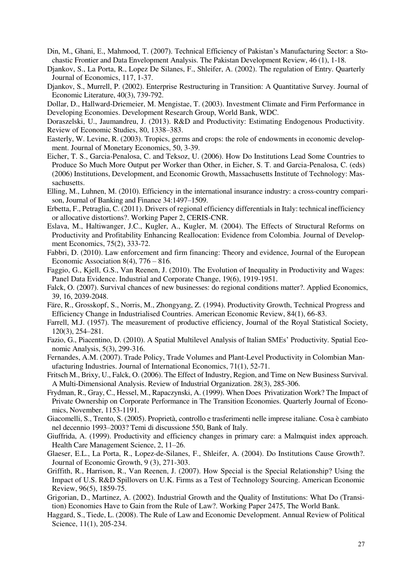- Din, M., Ghani, E., Mahmood, T. (2007). Technical Efficiency of Pakistan's Manufacturing Sector: a Stochastic Frontier and Data Envelopment Analysis. The Pakistan Development Review, 46 (1), 1-18.
- Djankov, S., La Porta, R., Lopez De Silanes, F., Shleifer, A. (2002). The regulation of Entry. Quarterly Journal of Economics, 117, 1-37.
- Djankov, S., Murrell, P. (2002). Enterprise Restructuring in Transition: A Quantitative Survey. Journal of Economic Literature, 40(3), 739-792.

Dollar, D., Hallward-Driemeier, M. Mengistae, T. (2003). Investment Climate and Firm Performance in Developing Economies. Development Research Group, World Bank, WDC.

Doraszelski, U., Jaumandreu, J. (2013). R&D and Productivity: Estimating Endogenous Productivity. Review of Economic Studies, 80, 1338–383.

- Easterly, W. Levine, R. (2003). Tropics, germs and crops: the role of endowments in economic development. Journal of Monetary Economics, 50, 3-39.
- Eicher, T. S., Garcia-Penalosa, C. and Teksoz, U. (2006). How Do Institutions Lead Some Countries to Produce So Much More Output per Worker than Other, in Eicher, S. T. and Garcia-Penalosa, C. (eds) (2006) Institutions, Development, and Economic Growth, Massachusetts Institute of Technology: Massachusetts.
- Elling, M., Luhnen, M. (2010). Efficiency in the international insurance industry: a cross-country comparison, Journal of Banking and Finance 34:1497–1509.
- Erbetta, F., Petraglia, C. (2011). Drivers of regional efficiency differentials in Italy: technical inefficiency or allocative distortions?. Working Paper 2, CERIS-CNR.
- Eslava, M., Haltiwanger, J.C., Kugler, A., Kugler, M. (2004). The Effects of Structural Reforms on Productivity and Profitability Enhancing Reallocation: Evidence from Colombia. Journal of Development Economics, 75(2), 333-72.
- Fabbri, D. (2010). Law enforcement and firm financing: Theory and evidence, Journal of the European Economic Association 8(4),  $776 - 816$ .
- Faggio, G., Kjell, G.S., Van Reenen, J. (2010). The Evolution of Inequality in Productivity and Wages: Panel Data Evidence. Industrial and Corporate Change, 19(6), 1919-1951.
- Falck, O. (2007). Survival chances of new businesses: do regional conditions matter?. Applied Economics, 39, 16, 2039-2048.
- Färe, R., Grosskopf, S., Norris, M., Zhongyang, Z. (1994). Productivity Growth, Technical Progress and Efficiency Change in Industrialised Countries. American Economic Review, 84(1), 66-83.
- Farrell, M.J. (1957). The measurement of productive efficiency, Journal of the Royal Statistical Society, 120(3), 254–281.
- Fazio, G., Piacentino, D. (2010). A Spatial Multilevel Analysis of Italian SMEs' Productivity. Spatial Economic Analysis, 5(3), 299-316.
- Fernandes, A.M. (2007). Trade Policy, Trade Volumes and Plant-Level Productivity in Colombian Manufacturing Industries. Journal of International Economics, 71(1), 52-71.

Fritsch M., Brixy, U., Falck, O. (2006). The Effect of Industry, Region, and Time on New Business Survival. A Multi-Dimensional Analysis. Review of Industrial Organization. 28(3), 285-306.

- Frydman, R., Gray, C., Hessel, M., Rapaczynski, A. (1999). When Does Privatization Work? The Impact of Private Ownership on Corporate Performance in The Transition Economies. Quarterly Journal of Economics, November, 1153-1191.
- Giacomelli, S., Trento, S. (2005). Proprietà, controllo e trasferimenti nelle imprese italiane. Cosa è cambiato nel decennio 1993–2003? Temi di discussione 550, Bank of Italy.
- Giuffrida, A. (1999). Productivity and efficiency changes in primary care: a Malmquist index approach. Health Care Management Science, 2, 11–26.
- Glaeser, E.L., La Porta, R., Lopez-de-Silanes, F., Shleifer, A. (2004). Do Institutions Cause Growth?. Journal of Economic Growth, 9 (3), 271-303.
- Griffith, R., Harrison, R., Van Reenen, J. (2007). How Special is the Special Relationship? Using the Impact of U.S. R&D Spillovers on U.K. Firms as a Test of Technology Sourcing. American Economic Review, 96(5), 1859-75.
- Grigorian, D., Martinez, A. (2002). Industrial Growth and the Quality of Institutions: What Do (Transition) Economies Have to Gain from the Rule of Law?. Working Paper 2475, The World Bank.
- Haggard, S., Tiede, L. (2008). The Rule of Law and Economic Development. Annual Review of Political Science, 11(1), 205-234.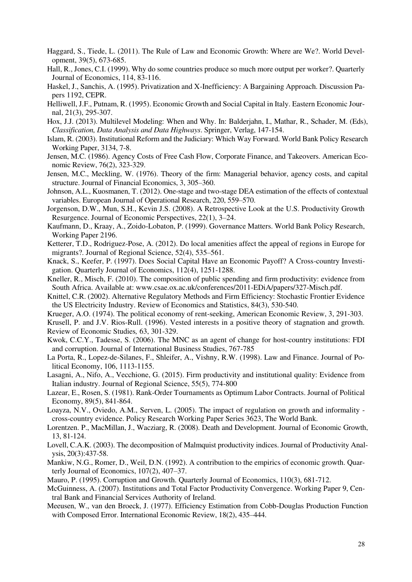- Haggard, S., Tiede, L. (2011). The Rule of Law and Economic Growth: Where are We?. World Development, 39(5), 673-685.
- Hall, R., Jones, C.I. (1999). Why do some countries produce so much more output per worker?. Quarterly Journal of Economics, 114, 83-116.
- Haskel, J., Sanchis, A. (1995). Privatization and X-Inefficiency: A Bargaining Approach. Discussion Papers 1192, CEPR.
- Helliwell, J.F., Putnam, R. (1995). Economic Growth and Social Capital in Italy. Eastern Economic Journal, 21(3), 295-307.
- Hox, J.J. (2013). Multilevel Modeling: When and Why. In: Balderjahn, I., Mathar, R., Schader, M. (Eds), *Classification, Data Analysis and Data Highways*. Springer, Verlag, 147-154.
- Islam, R. (2003). Institutional Reform and the Judiciary: Which Way Forward. World Bank Policy Research Working Paper, 3134, 7-8.
- Jensen, M.C. (1986). Agency Costs of Free Cash Flow, Corporate Finance, and Takeovers. American Economic Review, 76(2), 323-329.
- Jensen, M.C., Meckling, W. (1976). Theory of the firm: Managerial behavior, agency costs, and capital structure. Journal of Financial Economics, 3, 305–360.
- Johnson, A.L., Kuosmanen, T. (2012). One-stage and two-stage DEA estimation of the effects of contextual variables. European Journal of Operational Research, 220, 559–570.
- Jorgenson, D.W., Mun, S.H., Kevin J.S. (2008). A Retrospective Look at the U.S. Productivity Growth Resurgence. Journal of Economic Perspectives, 22(1), 3–24.
- Kaufmann, D., Kraay, A., Zoido-Lobaton, P. (1999). Governance Matters. World Bank Policy Research, Working Paper 2196.
- Ketterer, T.D., Rodriguez-Pose, A. (2012). Do local amenities affect the appeal of regions in Europe for migrants?. Journal of Regional Science, [52\(4\), 5](http://onlinelibrary.wiley.com/doi/10.1111/jors.2012.52.issue-4/issuetoc)35–561.
- Knack, S., Keefer, P. (1997). Does Social Capital Have an Economic Payoff? A Cross-country Investigation. Quarterly Journal of Economics, 112(4), 1251-1288.
- Kneller, R., Misch, F. (2010). The composition of public spending and firm productivity: evidence from South Africa. Available at: www.csae.ox.ac.uk/conferences/2011-EDiA/papers/327-Misch.pdf.
- Knittel, C.R. (2002). Alternative Regulatory Methods and Firm Efficiency: Stochastic Frontier Evidence the US Electricity Industry. Review of Economics and Statistics, 84(3), 530-540.
- Krueger, A.O. (1974). The political economy of rent-seeking, American Economic Review, 3, 291-303.
- Krusell, P. and J.V. Rios-Rull. (1996). Vested interests in a positive theory of stagnation and growth. Review of Economic Studies*,* 63, 301-329.
- Kwok, C.C.Y., Tadesse, S. (2006). The MNC as an agent of change for host-country institutions: FDI and corruption. Journal of International Business Studies, 767-785
- La Porta, R., Lopez-de-Silanes, F., Shleifer, A., Vishny, R.W. (1998). Law and Finance. Journal of Political Economy, 106, 1113-1155.
- Lasagni, A., Nifo, A., Vecchione, G. (2015). Firm productivity and institutional quality: Evidence from Italian industry. Journal of Regional Science, 55(5), 774-800
- Lazear, E., Rosen, S. (1981). Rank-Order Tournaments as Optimum Labor Contracts. Journal of Political Economy, 89(5), 841-864.
- Loayza, N.V., Oviedo, A.M., Serven, L. (2005). The impact of regulation on growth and informality cross-country evidence. Policy Research Working Paper Series 3623, The World Bank.
- Lorentzen. P., MacMillan, J., Wacziarg, R. (2008). Death and Development. Journal of Economic Growth, 13, 81-124.
- Lovell, C.A.K. (2003). The decomposition of Malmquist productivity indices. Journal of Productivity Analysis, 20(3):437-58.
- Mankiw, N.G., Romer, D., Weil, D.N. (1992). A contribution to the empirics of economic growth. Quarterly Journal of Economics, 107(2), 407–37.
- Mauro, P. (1995). Corruption and Growth. Quarterly Journal of Economics, 110(3), 681-712.
- McGuinness, A. (2007). Institutions and Total Factor Productivity Convergence. Working Paper 9, Central Bank and Financial Services Authority of Ireland.
- Meeusen, W., van den Broeck, J. (1977). Efficiency Estimation from Cobb-Douglas Production Function with Composed Error. International Economic Review, 18(2), 435–444.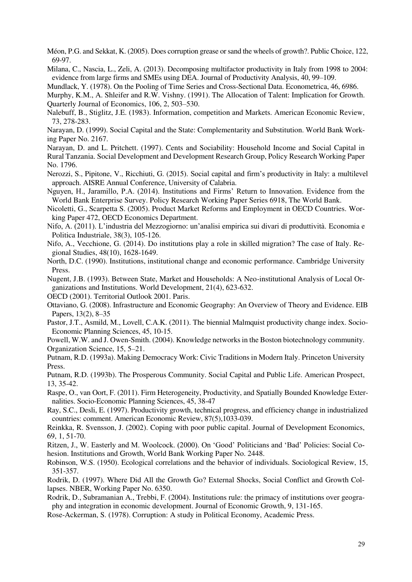Méon, P.G. and Sekkat, K. (2005). Does corruption grease or sand the wheels of growth?. Public Choice, 122, 69-97.

Milana, C., Nascia, L., Zeli, A. (2013). Decomposing multifactor productivity in Italy from 1998 to 2004: evidence from large firms and SMEs using DEA. Journal of Productivity Analysis, 40, 99–109.

Mundlack, Y. (1978). On the Pooling of Time Series and Cross-Sectional Data. Econometrica, 46, 6986.

Murphy, K.M., A. Shleifer and R.W. Vishny. (1991). The Allocation of Talent: Implication for Growth. Quarterly Journal of Economics, 106, 2, 503–530.

Nalebuff, B., Stiglitz, J.E. (1983). Information, competition and Markets. American Economic Review, 73, 278-283.

Narayan, D. (1999). Social Capital and the State: Complementarity and Substitution. World Bank Working Paper No. 2167.

Narayan, D. and L. Pritchett. (1997). Cents and Sociability: Household Income and Social Capital in Rural Tanzania. Social Development and Development Research Group, Policy Research Working Paper No. 1796.

Nerozzi, S., Pipitone, V., Ricchiuti, G. (2015). Social capital and firm's productivity in Italy: a multilevel approach. AISRE Annual Conference, University of Calabria.

Nguyen, H., Jaramillo, P.A. (2014). Institutions and Firms' Return to Innovation. Evidence from the World Bank Enterprise Survey. Policy Research Working Paper Series 6918, The World Bank.

Nicoletti, G., Scarpetta S. (2005). Product Market Reforms and Employment in OECD Countries. Working Paper 472, OECD Economics Department.

Nifo, A. (2011). L'industria del Mezzogiorno: un'analisi empirica sui divari di produttività. Economia e Politica Industriale, 38(3), 105-126.

Nifo, A., Vecchione, G. (2014). Do institutions play a role in skilled migration? The case of Italy. Regional Studies, 48(10), 1628-1649.

North, D.C. (1990). Institutions, institutional change and economic performance. Cambridge University Press.

Nugent, J.B. (1993). Between State, Market and Households: A Neo-institutional Analysis of Local Organizations and Institutions. World Development, 21(4), 623-632.

OECD (2001). Territorial Outlook 2001. Paris.

Ottaviano, G. (2008). Infrastructure and Economic Geography: An Overview of Theory and Evidence. EIB Papers, 13(2), 8–35

Pastor, J.T., Asmild, M., Lovell, C.A.K. (2011). The biennial Malmquist productivity change index. Socio-Economic Planning Sciences, 45, 10-15.

Powell, W.W. and J. Owen-Smith. (2004). Knowledge networks in the Boston biotechnology community. Organization Science, 15, 5–21.

Putnam, R.D. (1993a). Making Democracy Work: Civic Traditions in Modern Italy. Princeton University Press.

Putnam, R.D. (1993b). The Prosperous Community. Social Capital and Public Life. American Prospect, 13, 35-42.

Raspe, O., van Oort, F. (2011). Firm Heterogeneity, Productivity, and Spatially Bounded Knowledge Externalities. Socio-Economic Planning Sciences, 45, 38-47

Ray, S.C., Desli, E. (1997). Productivity growth, technical progress, and efficiency change in industrialized countries: comment. American Economic Review, 87(5),1033-039.

Reinkka, R. Svensson, J. (2002). Coping with poor public capital. Journal of Development Economics, 69, 1, 51-70.

Ritzen, J., W. Easterly and M. Woolcock. (2000). On 'Good' Politicians and 'Bad' Policies: Social Cohesion. Institutions and Growth, World Bank Working Paper No. 2448.

Robinson, W.S. (1950). Ecological correlations and the behavior of individuals. Sociological Review, 15, 351-357.

Rodrik, D. (1997). Where Did All the Growth Go? External Shocks, Social Conflict and Growth Collapses. NBER, Working Paper No. 6350.

Rodrik, D., Subramanian A., Trebbi, F. (2004). Institutions rule: the primacy of institutions over geography and integration in economic development. Journal of Economic Growth, 9, 131-165.

Rose-Ackerman, S. (1978). Corruption: A study in Political Economy, Academic Press.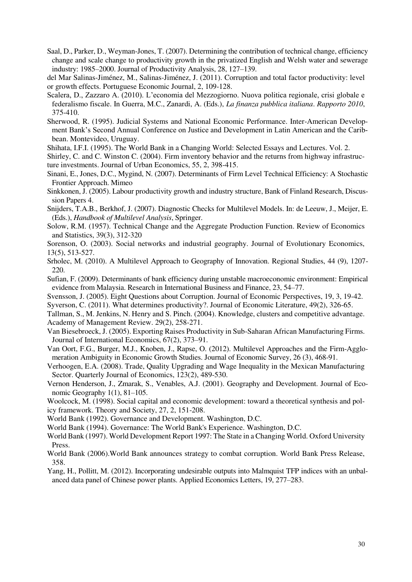- Saal, D., Parker, D., Weyman-Jones, T. (2007). Determining the contribution of technical change, efficiency change and scale change to productivity growth in the privatized English and Welsh water and sewerage industry: 1985–2000. Journal of Productivity Analysis, 28, 127–139.
- del Mar Salinas-Jiménez, M., Salinas-Jiménez, J. (2011). Corruption and total factor productivity: level or growth effects. Portuguese Economic Journal, 2, 109-128.
- Scalera, D., Zazzaro A. (2010). L'economia del Mezzogiorno. Nuova politica regionale, crisi globale e federalismo fiscale. In Guerra, M.C., Zanardi, A. (Eds.), *La finanza pubblica italiana*. *Rapporto 2010*, 375-410.
- Sherwood, R. (1995). Judicial Systems and National Economic Performance. Inter-American Development Bank's Second Annual Conference on Justice and Development in Latin American and the Caribbean. Montevideo, Uruguay.
- Shihata, I.F.I. (1995). The World Bank in a Changing World: Selected Essays and Lectures. Vol. 2.

Shirley, C. and C. Winston C. (2004). Firm inventory behavior and the returns from highway infrastructure investments. Journal of Urban Economics, 55, 2, 398-415.

- Sinani, E., Jones, D.C., Mygind, N. (2007). Determinants of Firm Level Technical Efficiency: A Stochastic Frontier Approach. Mimeo
- Sinkkonen, J. (2005). Labour productivity growth and industry structure, Bank of Finland Research, Discussion Papers 4.
- Snijders, T.A.B., Berkhof, J. (2007). Diagnostic Checks for Multilevel Models. In: de Leeuw, J., Meijer, E. (Eds.), *Handbook of Multilevel Analysis*, Springer.
- Solow, R.M. (1957). Technical Change and the Aggregate Production Function. Review of Economics and Statistics, 39(3), 312-320

Sorenson, O. (2003). Social networks and industrial geography. Journal of Evolutionary Economics, 13(5), 513-527.

- Srholec, M. (2010). A Multilevel Approach to Geography of Innovation. Regional Studies, 44 (9), 1207- 220.
- Sufian, F. (2009). Determinants of bank efficiency during unstable macroeconomic environment: Empirical evidence from Malaysia. Research in International Business and Finance, 23, 54–77.
- Svensson, J. (2005). Eight Questions about Corruption. Journal of Economic Perspectives, 19, 3, 19-42.
- Syverson, C. (2011). What determines productivity?. Journal of Economic Literature, 49(2), 326-65.
- Tallman, S., M. Jenkins, N. Henry and S. Pinch. (2004). Knowledge, clusters and competitive advantage. Academy of Management Review. 29(2), 258-271.
- Van Biesebroeck, J. (2005). Exporting Raises Productivity in Sub-Saharan African Manufacturing Firms. Journal of International Economics, 67(2), 373–91.
- Van Oort, F.G., Burger, M.J., Knoben, J., Rapse, O. (2012). Multilevel Approaches and the Firm-Agglomeration Ambiguity in Economic Growth Studies. Journal of Economic Survey, 26 (3), 468-91.
- Verhoogen, E.A. (2008). Trade, Quality Upgrading and Wage Inequality in the Mexican Manufacturing Sector. Quarterly Journal of Economics, 123(2), 489-530.
- Vernon Henderson, J., Zmarak, S., Venables, A.J. (2001). Geography and Development. Journal of Economic Geography 1(1), 81–105.
- Woolcock, M. (1998). Social capital and economic development: toward a theoretical synthesis and policy framework. Theory and Society, 27, 2, 151-208.
- World Bank (1992). Governance and Development. Washington, D.C.
- World Bank (1994). Governance: The World Bank's Experience. Washington, D.C.
- World Bank (1997). World Development Report 1997: The State in a Changing World. Oxford University Press.
- World Bank (2006).World Bank announces strategy to combat corruption. World Bank Press Release, 358.
- Yang, H., Pollitt, M. (2012). Incorporating undesirable outputs into Malmquist TFP indices with an unbalanced data panel of Chinese power plants. Applied Economics Letters, 19, 277–283.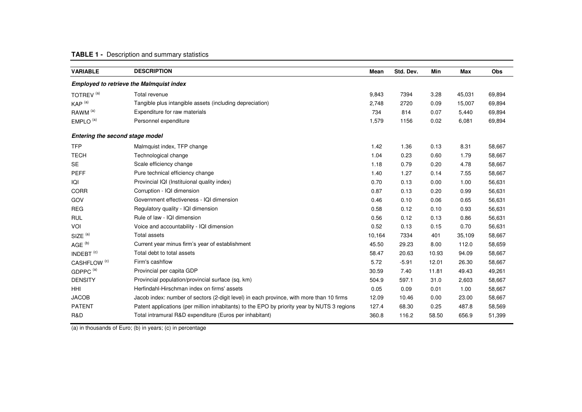## **TABLE 1 -** Description and summary statistics

| <b>VARIABLE</b>                 | <b>DESCRIPTION</b>                                                                          | Mean   | Std. Dev. | Min   | <b>Max</b> | Obs    |
|---------------------------------|---------------------------------------------------------------------------------------------|--------|-----------|-------|------------|--------|
|                                 | <b>Employed to retrieve the Malmquist index</b>                                             |        |           |       |            |        |
| TOTREV <sup>(a)</sup>           | Total revenue                                                                               | 9,843  | 7394      | 3.28  | 45,031     | 69,894 |
| KAP <sup>(a)</sup>              | Tangible plus intangible assets (including depreciation)                                    | 2,748  | 2720      | 0.09  | 15,007     | 69,894 |
| RAWM <sup>(a)</sup>             | Expenditure for raw materials                                                               | 734    | 814       | 0.07  | 5,440      | 69,894 |
| EMPLO <sup>(a)</sup>            | Personnel expenditure                                                                       | 1,579  | 1156      | 0.02  | 6,081      | 69,894 |
| Entering the second stage model |                                                                                             |        |           |       |            |        |
| <b>TFP</b>                      | Malmquist index, TFP change                                                                 | 1.42   | 1.36      | 0.13  | 8.31       | 58,667 |
| <b>TECH</b>                     | Technological change                                                                        | 1.04   | 0.23      | 0.60  | 1.79       | 58,667 |
| <b>SE</b>                       | Scale efficiency change                                                                     | 1.18   | 0.79      | 0.20  | 4.78       | 58,667 |
| <b>PEFF</b>                     | Pure technical efficiency change                                                            | 1.40   | 1.27      | 0.14  | 7.55       | 58,667 |
| IQI                             | Provincial IQI (Instituional quality index)                                                 | 0.70   | 0.13      | 0.00  | 1.00       | 56,631 |
| <b>CORR</b>                     | Corruption - IQI dimension                                                                  | 0.87   | 0.13      | 0.20  | 0.99       | 56,631 |
| GOV                             | Government effectiveness - IQI dimension                                                    | 0.46   | 0.10      | 0.06  | 0.65       | 56,631 |
| <b>REG</b>                      | Regulatory quality - IQI dimension                                                          | 0.58   | 0.12      | 0.10  | 0.93       | 56,631 |
| <b>RUL</b>                      | Rule of law - IQI dimension                                                                 | 0.56   | 0.12      | 0.13  | 0.86       | 56,631 |
| VOI                             | Voice and accountability - IQI dimension                                                    | 0.52   | 0.13      | 0.15  | 0.70       | 56,631 |
| $SIZE^{(a)}$                    | <b>Total assets</b>                                                                         | 10,164 | 7334      | 401   | 35,109     | 58,667 |
| AGE <sup>(b)</sup>              | Current year minus firm's year of establishment                                             | 45.50  | 29.23     | 8.00  | 112.0      | 58,659 |
| INDEBT <sup>(c)</sup>           | Total debt to total assets                                                                  | 58.47  | 20.63     | 10.93 | 94.09      | 58,667 |
| CASHFLOW <sup>(c)</sup>         | Firm's cashflow                                                                             | 5.72   | $-5.91$   | 12.01 | 26.30      | 58,667 |
| GDPPC <sup>(a)</sup>            | Provincial per capita GDP                                                                   | 30.59  | 7.40      | 11.81 | 49.43      | 49,261 |
| <b>DENSITY</b>                  | Provincial population/provincial surface (sq. km)                                           | 504.9  | 597.1     | 31.0  | 2,603      | 58,667 |
| HHI                             | Herfindahl-Hirschman index on firms' assets                                                 | 0.05   | 0.09      | 0.01  | 1.00       | 58,667 |
| <b>JACOB</b>                    | Jacob index: number of sectors (2-digit level) in each province, with more than 10 firms    | 12.09  | 10.46     | 0.00  | 23.00      | 58,667 |
| <b>PATENT</b>                   | Patent applications (per million inhabitants) to the EPO by priority year by NUTS 3 regions | 127.4  | 68.30     | 0.25  | 487.8      | 58,569 |
| R&D                             | Total intramural R&D expenditure (Euros per inhabitant)                                     | 360.8  | 116.2     | 58.50 | 656.9      | 51,399 |

(a) in thousands of Euro; (b) in years; (c) in percentage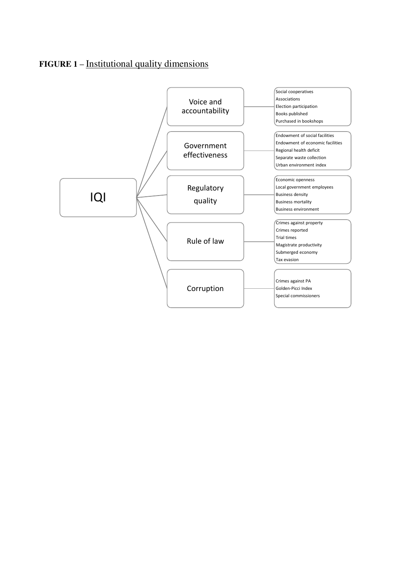## **FIGURE 1 –** Institutional quality dimensions

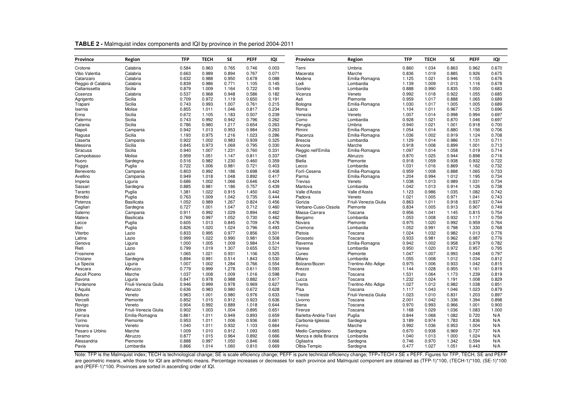| Province           | Region                | <b>TFP</b> | <b>TECH</b> | SE    | <b>PEFF</b> | IQI   | Province              | Region                | <b>TFP</b> | <b>TECH</b> | <b>SE</b> | <b>PEFF</b> | IQI   |
|--------------------|-----------------------|------------|-------------|-------|-------------|-------|-----------------------|-----------------------|------------|-------------|-----------|-------------|-------|
| Crotone            | Calabria              | 0.584      | 0.963       | 0.765 | 0.746       | 0.003 | Terni                 | Umbria                | 0.860      | 1.034       | 0.863     | 0.962       | 0.670 |
| Vibo Valentia      | Calabria              | 0.663      | 0.989       | 0.894 | 0.767       | 0.071 | Macerata              | Marche                | 0.836      | 1.019       | 0.885     | 0.926       | 0.675 |
| Catanzaro          | Calabria              | 0.632      | 0.988       | 0.950 | 0.678       | 0.088 | Modena                | Emilia-Romagna        | 1.125      | 1.021       | 0.946     | 1.155       | 0.676 |
| Reggio di Calabria | Calabria              | 0.839      | 0.986       | 0.771 | 1.105       | 0.145 | Lodi                  | Lombardia             | 1.139      | 1.009       | 1.013     | 1.116       | 0.678 |
| Caltanissetta      | Sicilia               | 0.879      | 1.009       | 1.164 | 0.722       | 0.149 | Sondrio               | Lombardia             | 0.888      | 0.990       | 0.835     | 1.050       | 0.683 |
| Cosenza            | Calabria              | 0.537      | 0.968       | 0.948 | 0.586       | 0.182 | Vicenza               | Veneto                | 0.992      | 1.018       | 0.922     | 1.055       | 0.685 |
| Agrigento          | Sicilia               | 0.709      | 0.972       | 1.119 | 0.650       | 0.191 | Asti                  | Piemonte              | 0.959      | 1.017       | 0.888     | 1.065       | 0.689 |
| Trapani            | Sicilia               | 0.743      | 0.993       | 1.007 | 0.761       | 0.215 | Bologna               | Emilia-Romagna        | 1.030      | 1.017       | 1.005     | 1.005       | 0.689 |
| Isernia            | Molise                | 0.855      | 1.011       | 1.046 | 0.817       | 0.234 | Roma                  | Lazio                 | 1.104      | 1.011       | 0.967     | 1.125       | 0.696 |
| Enna               | Sicilia               | 0.672      | 1.105       | 1.183 | 0.507       | 0.239 | Venezia               | Veneto                | 1.007      | 1.014       | 0.998     | 0.994       | 0.697 |
| Palermo            | Sicilia               | 0.743      | 0.992       | 0.942 | 0.796       | 0.262 | Como                  | Lombardia             | 0.928      | 1.021       | 0.870     | 1.046       | 0.697 |
| Catania            | Sicilia               | 0.786      | 0.980       | 1.217 | 0.654       | 0.263 | Perugia               | Umbria                | 0.940      | 1.021       | 1.001     | 0.918       | 0.700 |
| Napoli             | Campania              | 0.942      | 1.013       | 0.953 | 0.984       | 0.263 | Rimini                | Emilia-Romagna        | 1.054      | 1.014       | 0.880     | 1.156       | 0.706 |
| Ragusa             | Sicilia               | 1.193      | 0.975       | 1.216 | 1.023       | 0.286 | Piacenza              | Emilia-Romagna        | 1.036      | 1.002       | 0.919     | 1.124       | 0.708 |
| Caserta            | Campania              | 0.922      | 1.002       | 0.983 | 0.939       | 0.325 | <b>Brescia</b>        | Lombardia             | 1.129      | 1.014       | 0.986     | 1.131       | 0.711 |
| Messina            | Sicilia               | 0.845      | 0.973       | 1.069 | 0.795       | 0.330 | Ancona                | Marche                | 0.918      | 1.008       | 0.899     | 1.001       | 0.713 |
| Siracusa           | Sicilia               | 0.940      | 1.007       | 1.231 | 0.760       | 0.331 | Reggio nell'Emilia    | Emilia-Romagna        | 1.097      | 1.014       | 1.058     | 1.019       | 0.714 |
| Campobasso         | Molise                | 0.959      | 1.051       | 1.147 | 0.811       | 0.337 | Chieti                | Abruzzo               | 0.870      | 1.025       | 0.944     | 0.898       | 0.716 |
| Nuoro              | Sardegna              | 0.516      | 0.982       | 1.230 | 0.460       | 0.359 | Biella                | Piemonte              | 0.918      | 1.059       | 0.938     | 0.932       | 0.722 |
| Foggia             | Puglia                | 0.722      | 1.006       | 0.981 | 0.721       | 0.403 | Lecco                 | Lombardia             | 1.031      | 1.016       | 0.869     | 1.162       | 0.732 |
| Benevento          | Campania              | 0.803      | 0.992       | 1.186 | 0.698       | 0.408 | Forlì-Cesena          | Emilia-Romagna        | 0.959      | 1.008       | 0.888     | 1.065       | 0.733 |
| Avellino           | Campania              | 0.949      | 1.018       | 1.048 | 0.892       | 0.417 | Parma                 | Emilia-Romagna        | 1.204      | 0.994       | 1.012     | 1.195       | 0.734 |
| Imperia            | Liguria               | 0.686      | 1.002       | 1.066 | 0.646       | 0.424 | Treviso               | Veneto                | 1.038      | 1.013       | 0.989     | 1.031       | 0.734 |
| Sassari            | Sardegna              | 0.885      | 0.981       | 1.186 | 0.757       | 0.439 | Mantova               | Lombardia             | 1.042      | 1.013       | 0.914     | 1.126       | 0.738 |
| Taranto            | Puglia                | 1.381      | 1.022       | 0.915 | 1.450       | 0.442 | Valle d'Aosta         | Valle d'Aosta         | 1.123      | 0.986       | 1.035     | 1.082       | 0.742 |
| <b>Brindisi</b>    | Puglia                | 0.763      | 1.009       | 1.042 | 0.735       | 0.444 | Padova                | Veneto                | 1.021      | 1.005       | 0.971     | 1.041       | 0.743 |
| Potenza            | <b>Basilicata</b>     | 1.052      | 0.989       | 1.267 | 0.824       | 0.456 | Gorizia               | Friuli-Venezia Giulia | 0.863      | 1.011       | 0.918     | 0.937       | 0.744 |
| Cagliari           | Sardegna              | 0.727      | 1.001       | 1.047 | 0.712       | 0.460 | Verbano-Cusio-Ossola  | Piemonte              | 0.834      | 1.005       | 0.913     | 0.907       | 0.749 |
| Salerno            | Campania              | 0.911      | 0.992       | 1.029 | 0.894       | 0.462 | Massa-Carrara         | Toscana               | 0.956      | 1.041       | 1.145     | 0.815       | 0.754 |
| Matera             | Basilicata            | 0.769      | 0.997       | 1.052 | 0.730       | 0.462 | Bergamo               | Lombardia             | 1.053      | 1.008       | 0.932     | 1.117       | 0.759 |
| Lecce              | Puglia                | 0.605      | 1.013       | 0.845 | 0.709       | 0.476 | Novara                | Piemonte              | 0.975      | 1.020       | 0.992     | 0.959       | 0.764 |
| Bari               | Puglia                | 0.826      | 1.020       | 1.024 | 0.796       | 0.493 | Cremona               | Lombardia             | 1.052      | 0.991       | 0.798     | 1.330       | 0.768 |
| Viterbo            | Lazio                 | 0.833      | 0.995       | 0.977 | 0.856       | 0.501 | Pistoia               | Toscana               | 1.024      | 1.032       | 0.982     | 1.013       | 0.776 |
| Latina             | Lazio                 | 0.999      | 1.022       | 0.990 | 0.981       | 0.508 | Grosseto              | Toscana               | 0.933      | 0.981       | 0.962     | 0.987       | 0.776 |
| Genova             | Liguria               | 1.000      | 1.005       | 1.009 | 0.984       | 0.514 | Ravenna               | Emilia-Romagna        | 0.942      | 1.002       | 0.958     | 0.979       | 0.782 |
| Rieti              | Lazio                 | 0.799      | 1.019       | 1.307 | 0.655       | 0.521 | Varese                | Lombardia             | 0.950      | 1.020       | 0.972     | 0.957       | 0.795 |
| Frosinone          | Lazio                 | 1.065      | 1.021       | 0.931 | 1.106       | 0.525 | Cuneo                 | Piemonte              | 1.047      | 1.007       | 0.993     | 1.048       | 0.797 |
| Oristano           | Sardegna              | 0.894      | 0.991       | 0.514 | 1.843       | 0.530 | Milano                | Lombardia             | 1.055      | 1.008       | 1.012     | 1.034       | 0.812 |
| La Spezia          | Liguria               | 1.007      | 1.002       | 1.284 | 0.766       | 0.554 | Bolzano/Bozen         | Trentino-Alto Adige   | 0.975      | 1.006       | 0.933     | 1.042       | 0.815 |
| Pescara            | Abruzzo               | 0.779      | 0.999       | 1.278 | 0.611       | 0.593 | Arezzo                | Toscana               | 1.144      | 1.028       | 0.955     | 1.161       | 0.819 |
| Ascoli Piceno      | Marche                | 1.037      | 1.008       | 1.009 | 1.016       | 0.598 | Prato                 | Toscana               | 1.531      | 1.064       | 1.173     | 1.239       | 0.819 |
| Savona             | Liguria               | 0.847      | 0.978       | 0.988 | 0.882       | 0.617 | Lucca                 | Toscana               | 1.232      | 1.024       | 1.191     | 1.008       | 0.829 |
| Pordenone          | Friuli-Venezia Giulia | 0.946      | 0.999       | 0.978 | 0.969       | 0.627 | Trento                | Trentino-Alto Adige   | 1.027      | 1.012       | 0.982     | 1.038       | 0.851 |
| L'Aquila           | Abruzzo               | 0.636      | 0.983       | 0.980 | 0.672       | 0.628 | Pisa                  | Toscana               | 1.117      | 1.043       | 1.046     | 1.023       | 0.879 |
| Belluno            | Veneto                | 0.963      | 1.001       | 0.980 | 0.976       | 0.633 | Trieste               | Friuli-Venezia Giulia | 1.023      | 1.010       | 0.831     | 1.203       | 0.897 |
| Vercelli           | Piemonte              | 0.852      | 1.015       | 0.912 | 0.923       | 0.636 | Livorno               | Toscana               | 2.001      | 1.042       | 1.336     | 1.394       | 0.898 |
| Rovigo             | Veneto                | 0.904      | 0.992       | 0.889 | 1.018       | 0.644 | Siena                 | Toscana               | 0.970      | 0.993       | 0.966     | 1.001       | 0.900 |
| Udine              | Friuli-Venezia Giulia | 0.902      | 1.003       | 1.004 | 0.895       | 0.651 | Firenze               | Toscana               | 1.168      | 1.029       | 1.036     | 1.083       | 1.000 |
| Ferrara            | Emilia-Romagna        | 0.861      | 1.011       | 0.949 | 0.893       | 0.659 | Barletta-Andria-Trani | Puglia                | 0.844      | 1.068       | 1.082     | 0.720       | N/A   |
| Torino             | Piemonte              | 0.953      | 1.011       | 1.006 | 0.936       | 0.661 | Carbonia-Iglesias     | Sardegna              | 3.189      | 0.974       | 1.783     | 1.836       | N/A   |
| Verona             | Veneto                | 1.040      | 1.011       | 0.932 | 1.103       | 0.664 | Fermo                 | Marche                | 0.992      | 1.036       | 0.953     | 1.004       | N/A   |
| Pesaro e Urbino    | Marche                | 1.009      | 1.010       | 0.912 | 1.093       | 0.665 | Medio Campidano       | Sardegna              | 0.670      | 0.938       | 0.969     | 0.737       | N/A   |
| Teramo             | Abruzzo               | 0.877      | 1.015       | 0.964 | 0.892       | 0.666 | Monza e della Brianza | Lombardia             | 1.040      | 1.013       | 1.000     | 1.024       | N/A   |
| Alessandria        | Piemonte              | 0.888      | 0.997       | 1.050 | 0.846       | 0.666 | Ogliastra             | Sardegna              | 0.746      | 0.970       | 1.342     | 0.594       | N/A   |
| Pavia              | Lombardia             | 0.866      | 1.014       | 1.060 | 0.810       | 0.669 | Olbia-Tempio          | Sardegna              | 0.477      | 1.027       | 1.051     | 0.443       | N/A   |

**TABLE 2 -** Malmquist index components and IQI by province in the period 2004-2011

Note: TFP is the Malmquist index; TECH is technological change; SE is scale efficiency change; PEFF is pure technical efficiency change; TFP=TECH x SE x PEFF. Figures for TFP, TECH, SE and PEFF are geometric means, while those for IQI are arithmetic means. Percentage increases or decreases for each province and Malmquist component are obtained as (TFP-1)\*100, (TECH-1)\*100, (SE-1)\*100 and (PEFF-1)\*100. Provinces are sorted in ascending order of IQI.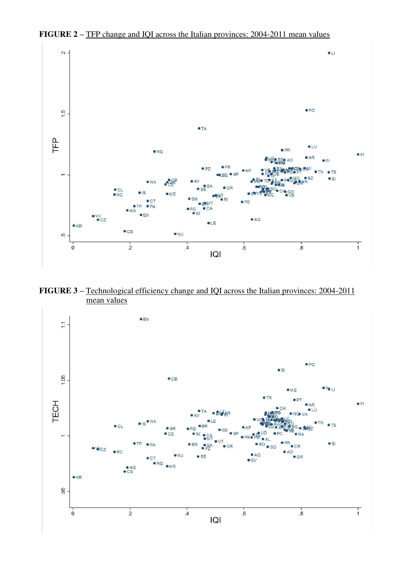

**FIGURE 2 –** TFP change and IQI across the Italian provinces: 2004-2011 mean values

**FIGURE 3 –** Technological efficiency change and IQI across the Italian provinces: 2004-2011 mean values

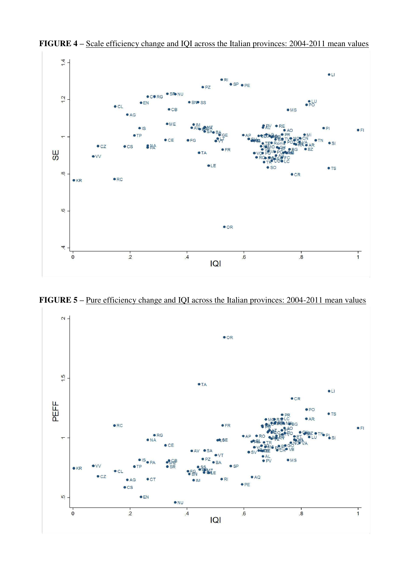

**FIGURE 4 –** Scale efficiency change and IQI across the Italian provinces: 2004-2011 mean values

**FIGURE 5** – <u>Pure efficiency change and IQI across the Italian provinces: 2004-2011 mean values</u>

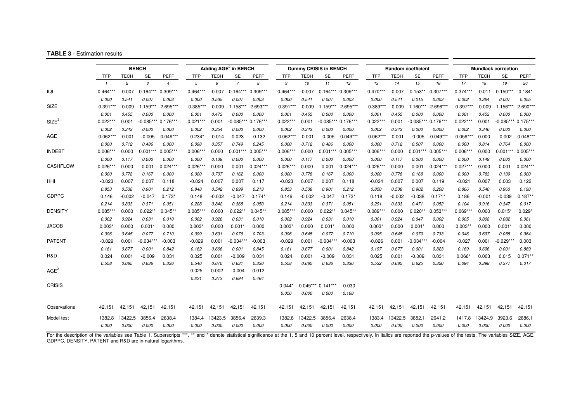#### **TABLE 3** - Estimation results

|                   |             |                | <b>BENCH</b>         |                       | Adding AGE <sup>2</sup> in BENCH |          |                |             |             |             | <b>Dummy CRISIS in BENCH</b> |             |             |             | <b>Random coefficient</b> |             | <b>Mundlack correction</b> |          |             |             |  |
|-------------------|-------------|----------------|----------------------|-----------------------|----------------------------------|----------|----------------|-------------|-------------|-------------|------------------------------|-------------|-------------|-------------|---------------------------|-------------|----------------------------|----------|-------------|-------------|--|
|                   | <b>TFP</b>  | <b>TECH</b>    | <b>SE</b>            | <b>PEFF</b>           | TFP                              | TECH     | <b>SE</b>      | <b>PEFF</b> | TFP         | <b>TECH</b> | <b>SE</b>                    | PEFF        | TFP         | <b>TECH</b> | <b>SE</b>                 | PEFF        | TFP                        | TECH     | <b>SE</b>   | PEFF        |  |
|                   |             | $\overline{c}$ | $\boldsymbol{\beta}$ | $\boldsymbol{\Delta}$ | $\overline{5}$                   | 6        | $\overline{z}$ | 8           | 9           | 10          | 11                           | 12          | 13          | 14          | 15                        | 16          | 17                         | 18       | 19          | 20          |  |
| IQI               | $0.464***$  | $-0.007$       | $0.164***$           | $0.309***$            | $0.464***$                       | $-0.007$ | $0.164***$     | $0.309***$  | $0.464***$  | $-0.007$    | $0.164***$                   | $0.309***$  | $0.470***$  | $-0.007$    | $0.153**$                 | $0.307***$  | $0.374***$                 | $-0.011$ | $0.150***$  | $0.184*$    |  |
|                   | 0.000       | 0.541          | 0.007                | 0.003                 | 0.000                            | 0.535    | 0.007          | 0.003       | 0.000       | 0.541       | 0.007                        | 0.003       | 0.000       | 0.541       | 0.015                     | 0.003       | 0.002                      | 0.364    | 0.007       | 0.055       |  |
| SIZE              | $-0.391***$ | $-0.009$       | $.159***$            | $-2.695***$           | $-0.385***$                      | $-0.009$ | 1.158***       | $-2.693***$ | $-0.391***$ | $-0.009$    | $1.159***$                   | $-2.695***$ | $-0.389***$ | $-0.009$    | $1.160***$                | $-2.696***$ | $-0.397***$                | $-0.009$ | 1.156***    | $-2.690**$  |  |
|                   | 0.001       | 0.455          | 0.000                | 0.000                 | 0.001                            | 0.473    | 0.000          | 0.000       | 0.001       | 0.455       | 0.000                        | 0.000       | 0.001       | 0.455       | 0.000                     | 0.000       | 0.001                      | 0.453    | 0.000       | 0.000       |  |
| SIZE <sup>2</sup> | $0.022***$  | 0.001          | $-0.085***$          | $0.176***$            | $0.021***$                       | 0.001    | $-0.085***$    | $0.176***$  | $0.022***$  | 0.001       | $-0.085***$                  | $0.176***$  | $0.022***$  | 0.001       | $-0.085***$               | $0.176***$  | $0.022***$                 | 0.001    | $-0.085***$ | $0.175**$   |  |
|                   | 0.002       | 0.343          | 0.000                | 0.000                 | 0.002                            | 0.354    | 0.000          | 0.000       | 0.002       | 0.343       | 0.000                        | 0.000       | 0.002       | 0.343       | 0.000                     | 0.000       | 0.002                      | 0.346    | 0.000       | 0.000       |  |
| AGE               | $-0.062***$ | $-0.001$       | $-0.005$             | $-0.049***$           | -0.234*                          | $-0.014$ | 0.023          | $-0.132$    | $-0.062***$ | $-0.001$    | $-0.005$                     | $-0.049***$ | $-0.062***$ | $-0.001$    | $-0.005$                  | $-0.049***$ | $-0.059***$                | 0.000    | $-0.002$    | $-0.048***$ |  |
|                   | 0.000       | 0.712          | 0.486                | 0.000                 | 0.098                            | 0.357    | 0.749          | 0.245       | 0.000       | 0.712       | 0.486                        | 0.000       | 0.000       | 0.712       | 0.507                     | 0.000       | 0.000                      | 0.814    | 0.764       | 0.000       |  |
| <b>INDEBT</b>     | $0.006***$  | 0.000          | $0.001***$           | $0.005***$            | $0.006***$                       | 0.000    | $0.001***$     | $0.005***$  | $0.006***$  | 0.000       | $0.001***$                   | $0.005***$  | $0.006***$  | 0.000       | $0.001***$                | $0.005***$  | $0.006***$                 | 0.000    | $0.001***$  | $0.005***$  |  |
|                   | 0.000       | 0.117          | 0.000                | 0.000                 | 0.000                            | 0.139    | 0.000          | 0.000       | 0.000       | 0.117       | 0.000                        | 0.000       | 0.000       | 0.117       | 0.000                     | 0.000       | 0.000                      | 0.149    | 0.000       | 0.000       |  |
| CASHFLOW          | $0.026***$  | 0.000          | 0.001                | $0.024***$            | $0.026***$                       | 0.000    | 0.001          | $0.024***$  | $0.026**$   | 0.000       | 0.001                        | $0.024***$  | $0.026***$  | 0.000       | 0.001                     | $0.024***$  | $0.027***$                 | 0.000    | 0.001       | $0.024***$  |  |
|                   | 0.000       | 0.778          | 0.167                | 0.000                 | 0.000                            | 0.737    | 0.162          | 0.000       | 0.000       | 0.778       | 0.167                        | 0.000       | 0.000       | 0.778       | 0.168                     | 0.000       | 0.000                      | 0.783    | 0.139       | 0.000       |  |
| HHI               | $-0.023$    | 0.007          | 0.007                | 0.118                 | $-0.024$                         | 0.007    | 0.007          | 0.117       | $-0.023$    | 0.007       | 0.007                        | 0.118       | $-0.024$    | 0.007       | 0.007                     | 0.119       | $-0.021$                   | 0.007    | 0.003       | 0.122       |  |
|                   | 0.853       | 0.538          | 0.901                | 0.212                 | 0.848                            | 0.542    | 0.899          | 0.213       | 0.853       | 0.538       | 0.901                        | 0.212       | 0.850       | 0.538       | 0.902                     | 0.208       | 0.866                      | 0.540    | 0.960       | 0.198       |  |
| <b>GDPPC</b>      | 0.146       | $-0.002$       | $-0.047$             | $0.173*$              | 0.148                            | $-0.002$ | $-0.047$       | $0.174*$    | 0.146       | $-0.002$    | $-0.047$                     | $0.173*$    | 0.118       | $-0.002$    | $-0.038$                  | 0.171'      | 0.186                      | $-0.001$ | $-0.039$    | $0.187**$   |  |
|                   | 0.214       | 0.833          | 0.371                | 0.051                 | 0.208                            | 0.842    | 0.368          | 0.050       | 0.214       | 0.833       | 0.371                        | 0.051       | 0.291       | 0.833       | 0.471                     | 0.052       | 0.104                      | 0.916    | 0.347       | 0.017       |  |
| <b>DENSITY</b>    | $0.085***$  | 0.000          | $0.022**$            | $0.045**$             | $0.085***$                       | 0.000    | $0.022**$      | $0.045**$   | $0.085***$  | 0.000       | $0.022**$                    | $0.045**$   | $0.089***$  | 0.000       | $0.020**$                 | $0.053***$  | $0.069^{\star\star}$       | 0.000    | 0.015       | $0.029*$    |  |
|                   | 0.002       | 0.924          | 0.031                | 0.010                 | 0.002                            | 0.926    | 0.031          | 0.010       | 0.002       | 0.924       | 0.031                        | 0.010       | 0.001       | 0.924       | 0.047                     | 0.002       | 0.005                      | 0.808    | 0.082       | 0.061       |  |
| <b>JACOB</b>      | 0.003'      | 0.000          | 0.001'               | 0.000                 | 0.003'                           | 0.000    | 0.001          | 0.000       | 0.003       | 0.000       | 0.001                        | 0.000       | 0.003'      | 0.000       | $0.001*$                  | 0.000       | $0.003**$                  | 0.000    | 0.001       | 0.000       |  |
|                   | 0.096       | 0.645          | 0.077                | 0.710                 | 0.099                            | 0.631    | 0.076          | 0.703       | 0.096       | 0.645       | 0.077                        | 0.710       | 0.095       | 0.645       | 0.070                     | 0.733       | 0.046                      | 0.697    | 0.058       | 0.964       |  |
| <b>PATENT</b>     | $-0.029$    | 0.001          | -0.034***            | $-0.003$              | $-0.029$                         | 0.001    | $-0.034***$    | $-0.003$    | $-0.029$    | 0.001       | $-0.034***$                  | $-0.003$    | $-0.026$    | 0.001       | -0.034***                 | $-0.004$    | $-0.027$                   | 0.001    | $-0.029**$  | 0.003       |  |
|                   | 0.161       | 0.677          | 0.001                | 0.842                 | 0.162                            | 0.666    | 0.001          | 0.845       | 0.161       | 0.677       | 0.001                        | 0.842       | 0.197       | 0.677       | 0.001                     | 0.823       | 0.169                      | 0.696    | 0.001       | 0.869       |  |
| R&D               | 0.024       | 0.001          | $-0.009$             | 0.031                 | 0.025                            | 0.001    | $-0.009$       | 0.031       | 0.024       | 0.001       | $-0.009$                     | 0.031       | 0.025       | 0.001       | $-0.009$                  | 0.031       | 0.066'                     | 0.003    | 0.015       | $0.071**$   |  |
|                   | 0.558       | 0.685          | 0.636                | 0.336                 | 0.546                            | 0.670    | 0.631          | 0.330       | 0.558       | 0.685       | 0.636                        | 0.336       | 0.532       | 0.685       | 0.625                     | 0.326       | 0.094                      | 0.398    | 0.377       | 0.017       |  |
| AGE <sup>2</sup>  |             |                |                      |                       | 0.025                            | 0.002    | $-0.004$       | 0.012       |             |             |                              |             |             |             |                           |             |                            |          |             |             |  |
|                   |             |                |                      |                       | 0.221                            | 0.373    | 0.694          | 0.464       |             |             |                              |             |             |             |                           |             |                            |          |             |             |  |
| <b>CRISIS</b>     |             |                |                      |                       |                                  |          |                |             | $0.044*$    |             | $-0.045***$ 0.141***         | $-0.030$    |             |             |                           |             |                            |          |             |             |  |
|                   |             |                |                      |                       |                                  |          |                |             | 0.056       | 0.000       | 0.000                        | 0.168       |             |             |                           |             |                            |          |             |             |  |
| Observations      | 42,151      | 42,151         | 42,151               | 42,151                | 42,151                           | 42,151   | 42,151         | 42,151      | 42,151      | 42,151      | 42,151                       | 42,151      | 42,151      | 42,151      | 42,151                    | 42,151      | 42,151                     | 42,151   | 42,151      | 42,151      |  |
| Model test        | 1382.8      | 13422.5        | 3856.4               | 2638.4                | 1384.4                           | 13423.5  | 3856.4         | 2639.3      | 1382.8      | 13422.5     | 3856.4                       | 2638.4      | 1383.4      | 13422.5     | 3852.1                    | 2641.2      | 1417.8                     | 13424.9  | 3923.6      | 2686.1      |  |
|                   | 0.000       | 0.000          | 0.000                | 0.000                 | 0.000                            | 0.000    | 0.000          | 0.000       | 0.000       | 0.000       | 0.000                        | 0.000       | 0.000       | 0.000       | 0.000                     | 0.000       | 0.000                      | 0.000    | 0.000       | 0.000       |  |

For the description of the variables see Table 1. Superscripts \*\*\*, \*\* and \* denote statistical significance at the 1, 5 and 10 percent level, respectively. In italics are reported the p-values of the tests. The variables GDPPC, DENSITY, PATENT and R&D are in natural logarithms.